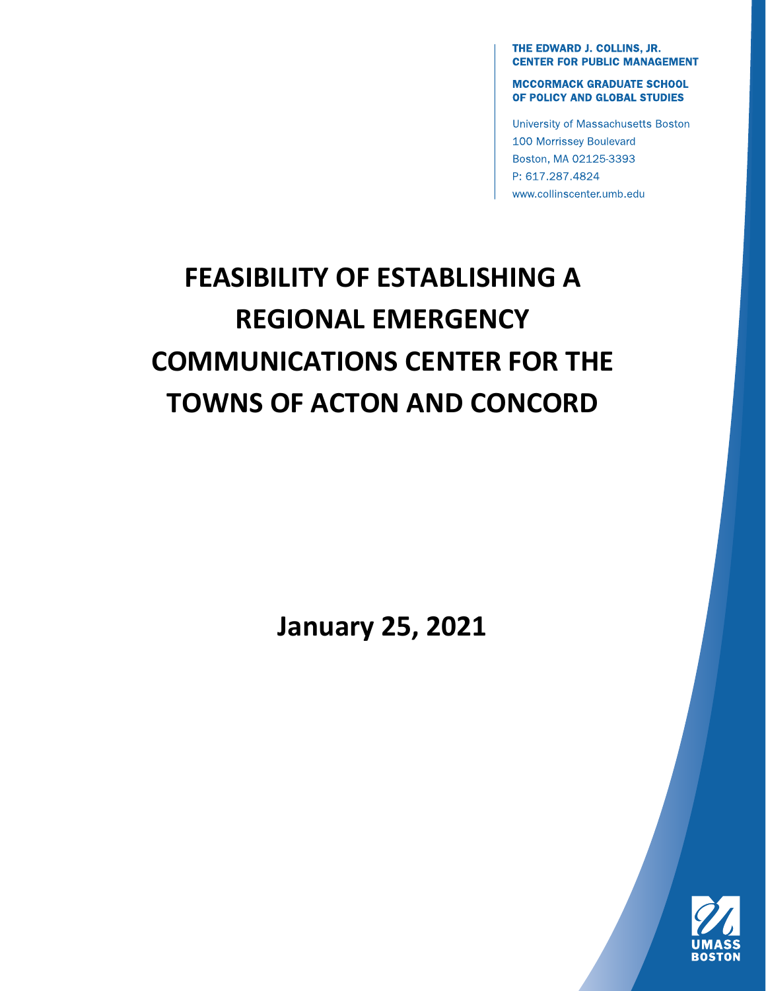THE EDWARD J. COLLINS, JR. **CENTER FOR PUBLIC MANAGEMENT** 

**MCCORMACK GRADUATE SCHOOL** OF POLICY AND GLOBAL STUDIES

University of Massachusetts Boston 100 Morrissey Boulevard Boston, MA 02125-3393 P: 617.287.4824 www.collinscenter.umb.edu

# **FEASIBILITY OF ESTABLISHING A REGIONAL EMERGENCY COMMUNICATIONS CENTER FOR THE TOWNS OF ACTON AND CONCORD**

**January 25, 2021**

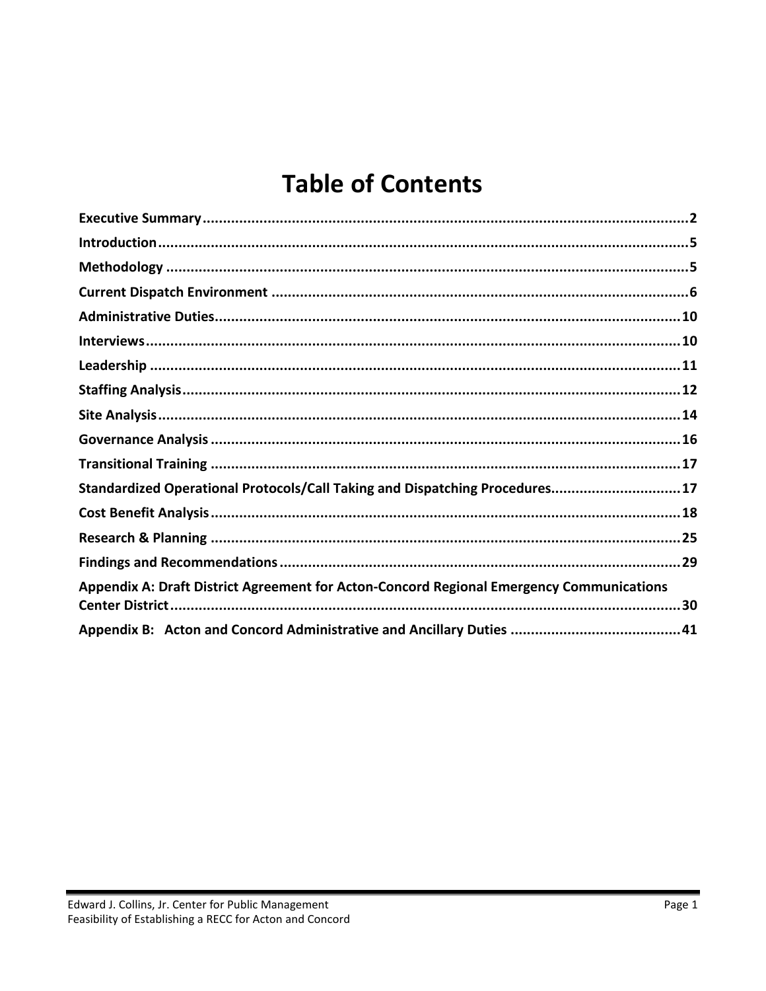## **Table of Contents**

| Standardized Operational Protocols/Call Taking and Dispatching Procedures17              |
|------------------------------------------------------------------------------------------|
|                                                                                          |
|                                                                                          |
|                                                                                          |
| Appendix A: Draft District Agreement for Acton-Concord Regional Emergency Communications |
|                                                                                          |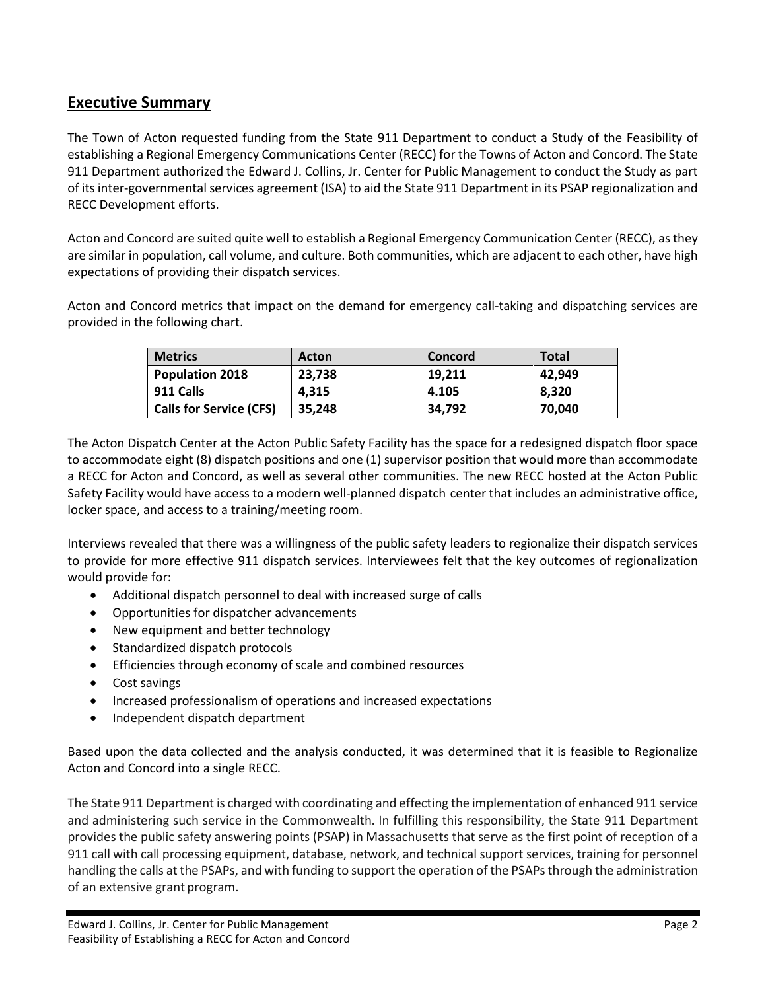## <span id="page-2-0"></span>**Executive Summary**

The Town of Acton requested funding from the State 911 Department to conduct a Study of the Feasibility of establishing a Regional Emergency Communications Center (RECC) for the Towns of Acton and Concord. The State 911 Department authorized the Edward J. Collins, Jr. Center for Public Management to conduct the Study as part of its inter-governmental services agreement (ISA) to aid the State 911 Department in its PSAP regionalization and RECC Development efforts.

Acton and Concord are suited quite well to establish a Regional Emergency Communication Center (RECC), as they are similar in population, call volume, and culture. Both communities, which are adjacent to each other, have high expectations of providing their dispatch services.

Acton and Concord metrics that impact on the demand for emergency call-taking and dispatching services are provided in the following chart.

| <b>Metrics</b>                 | Acton  | <b>Concord</b> | <b>Total</b> |
|--------------------------------|--------|----------------|--------------|
| <b>Population 2018</b>         | 23,738 | 19.211         | 42.949       |
| 911 Calls                      | 4.315  | 4.105          | 8.320        |
| <b>Calls for Service (CFS)</b> | 35,248 | 34.792         | 70,040       |

The Acton Dispatch Center at the Acton Public Safety Facility has the space for a redesigned dispatch floor space to accommodate eight (8) dispatch positions and one (1) supervisor position that would more than accommodate a RECC for Acton and Concord, as well as several other communities. The new RECC hosted at the Acton Public Safety Facility would have access to a modern well-planned dispatch center that includes an administrative office, locker space, and access to a training/meeting room.

Interviews revealed that there was a willingness of the public safety leaders to regionalize their dispatch services to provide for more effective 911 dispatch services. Interviewees felt that the key outcomes of regionalization would provide for:

- Additional dispatch personnel to deal with increased surge of calls
- Opportunities for dispatcher advancements
- New equipment and better technology
- Standardized dispatch protocols
- Efficiencies through economy of scale and combined resources
- Cost savings
- Increased professionalism of operations and increased expectations
- Independent dispatch department

Based upon the data collected and the analysis conducted, it was determined that it is feasible to Regionalize Acton and Concord into a single RECC.

The State 911 Department is charged with coordinating and effecting the implementation of enhanced 911 service and administering such service in the Commonwealth. In fulfilling this responsibility, the State 911 Department provides the public safety answering points (PSAP) in Massachusetts that serve as the first point of reception of a 911 call with call processing equipment, database, network, and technical support services, training for personnel handling the calls at the PSAPs, and with funding to support the operation of the PSAPs through the administration of an extensive grant program.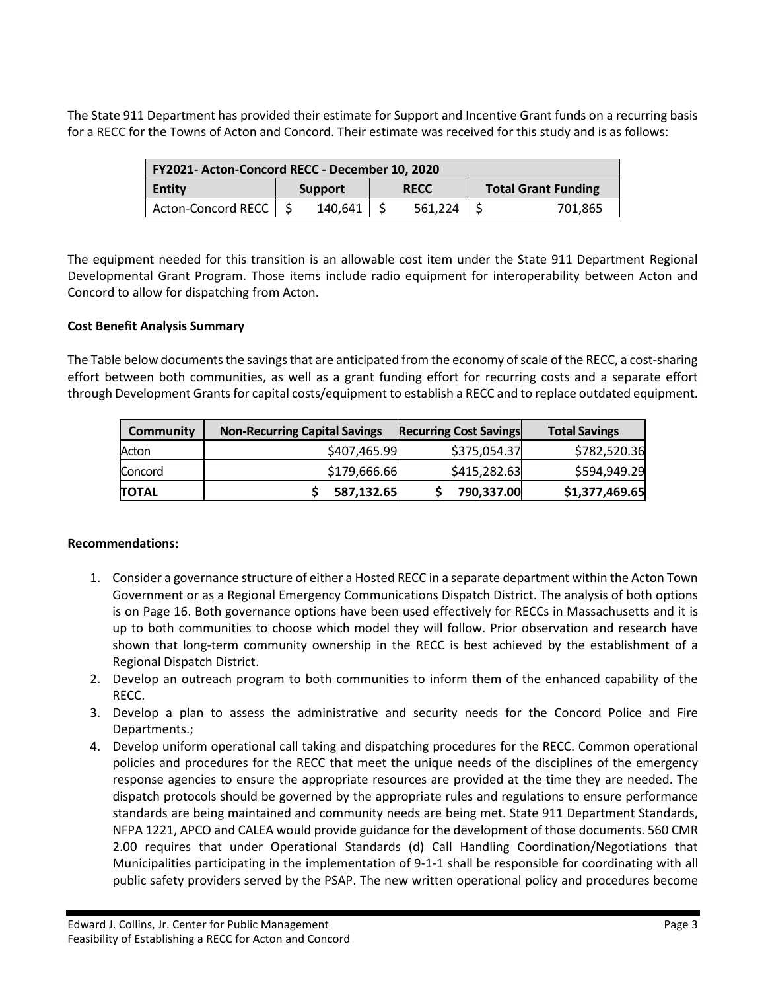The State 911 Department has provided their estimate for Support and Incentive Grant funds on a recurring basis for a RECC for the Towns of Acton and Concord. Their estimate was received for this study and is as follows:

| FY2021- Acton-Concord RECC - December 10, 2020 |                               |         |  |                            |  |         |
|------------------------------------------------|-------------------------------|---------|--|----------------------------|--|---------|
| <b>Entity</b>                                  | <b>RECC</b><br><b>Support</b> |         |  | <b>Total Grant Funding</b> |  |         |
| Acton-Concord RECC                             |                               | 140,641 |  | 561.224                    |  | 701.865 |

The equipment needed for this transition is an allowable cost item under the State 911 Department Regional Developmental Grant Program. Those items include radio equipment for interoperability between Acton and Concord to allow for dispatching from Acton.

#### **Cost Benefit Analysis Summary**

The Table below documents the savings that are anticipated from the economy of scale of the RECC, a cost-sharing effort between both communities, as well as a grant funding effort for recurring costs and a separate effort through Development Grants for capital costs/equipment to establish a RECC and to replace outdated equipment.

| Community    | <b>Non-Recurring Capital Savings</b> | <b>Recurring Cost Savings</b> | <b>Total Savings</b> |
|--------------|--------------------------------------|-------------------------------|----------------------|
| Acton        | \$407,465.99                         | \$375,054.37                  | \$782,520.36         |
| Concord      | \$179,666.66                         | \$415,282.63                  | \$594,949.29         |
| <b>TOTAL</b> | 587,132.65                           | 790,337.00                    | \$1,377,469.65       |

#### **Recommendations:**

- 1. Consider a governance structure of either a Hosted RECC in a separate department within the Acton Town Government or as a Regional Emergency Communications Dispatch District. The analysis of both options is on Page 16. Both governance options have been used effectively for RECCs in Massachusetts and it is up to both communities to choose which model they will follow. Prior observation and research have shown that long-term community ownership in the RECC is best achieved by the establishment of a Regional Dispatch District.
- 2. Develop an outreach program to both communities to inform them of the enhanced capability of the RECC.
- 3. Develop a plan to assess the administrative and security needs for the Concord Police and Fire Departments.;
- 4. Develop uniform operational call taking and dispatching procedures for the RECC. Common operational policies and procedures for the RECC that meet the unique needs of the disciplines of the emergency response agencies to ensure the appropriate resources are provided at the time they are needed. The dispatch protocols should be governed by the appropriate rules and regulations to ensure performance standards are being maintained and community needs are being met. State 911 Department Standards, NFPA 1221, APCO and CALEA would provide guidance for the development of those documents. 560 CMR 2.00 requires that under Operational Standards (d) Call Handling Coordination/Negotiations that Municipalities participating in the implementation of 9-1-1 shall be responsible for coordinating with all public safety providers served by the PSAP. The new written operational policy and procedures become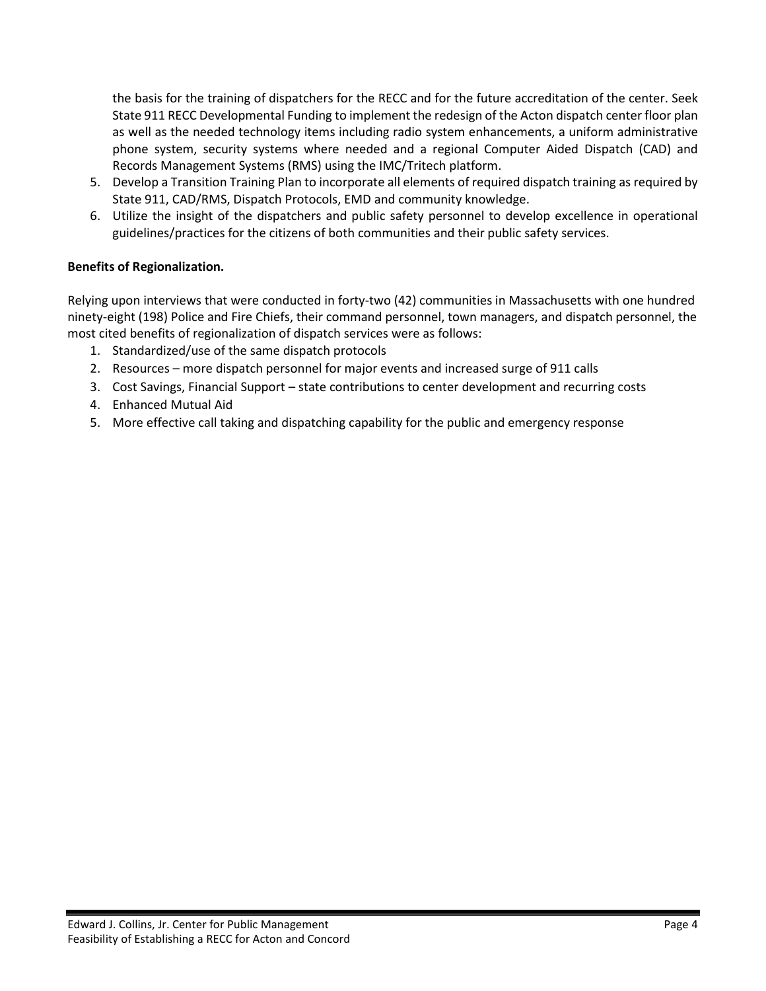the basis for the training of dispatchers for the RECC and for the future accreditation of the center. Seek State 911 RECC Developmental Funding to implement the redesign of the Acton dispatch center floor plan as well as the needed technology items including radio system enhancements, a uniform administrative phone system, security systems where needed and a regional Computer Aided Dispatch (CAD) and Records Management Systems (RMS) using the IMC/Tritech platform.

- 5. Develop a Transition Training Plan to incorporate all elements of required dispatch training as required by State 911, CAD/RMS, Dispatch Protocols, EMD and community knowledge.
- 6. Utilize the insight of the dispatchers and public safety personnel to develop excellence in operational guidelines/practices for the citizens of both communities and their public safety services.

#### **Benefits of Regionalization.**

Relying upon interviews that were conducted in forty-two (42) communities in Massachusetts with one hundred ninety-eight (198) Police and Fire Chiefs, their command personnel, town managers, and dispatch personnel, the most cited benefits of regionalization of dispatch services were as follows:

- 1. Standardized/use of the same dispatch protocols
- 2. Resources more dispatch personnel for major events and increased surge of 911 calls
- 3. Cost Savings, Financial Support state contributions to center development and recurring costs
- 4. Enhanced Mutual Aid
- 5. More effective call taking and dispatching capability for the public and emergency response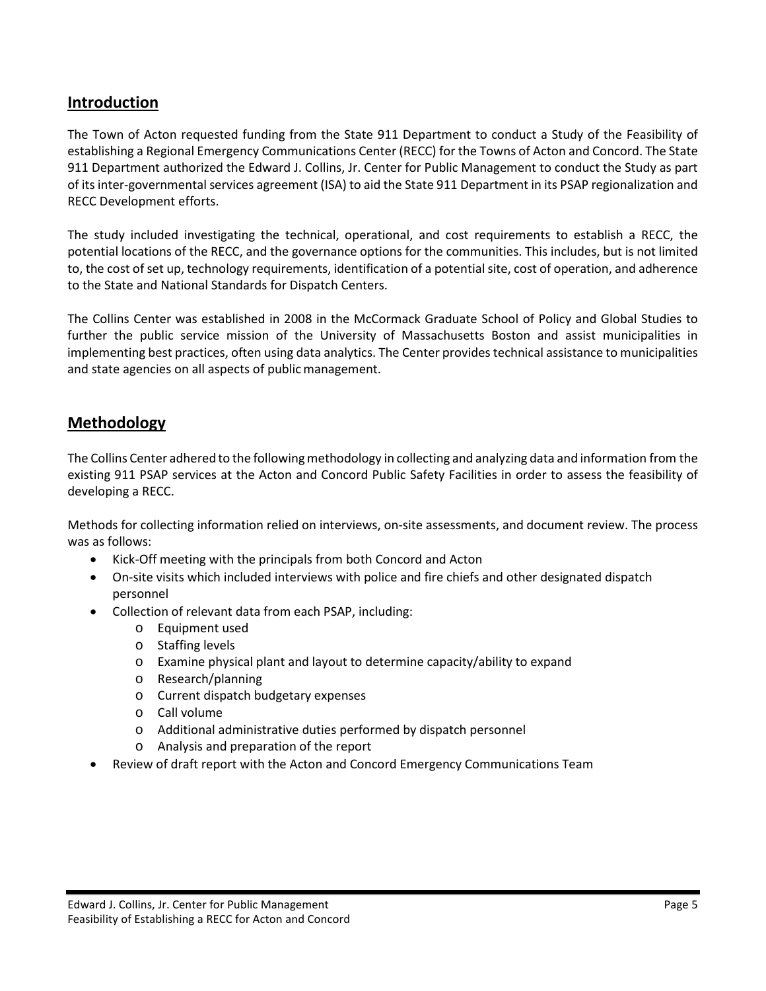## <span id="page-5-0"></span>**Introduction**

The Town of Acton requested funding from the State 911 Department to conduct a Study of the Feasibility of establishing a Regional Emergency Communications Center (RECC) for the Towns of Acton and Concord. The State 911 Department authorized the Edward J. Collins, Jr. Center for Public Management to conduct the Study as part of its inter-governmental services agreement (ISA) to aid the State 911 Department in its PSAP regionalization and RECC Development efforts.

The study included investigating the technical, operational, and cost requirements to establish a RECC, the potential locations of the RECC, and the governance options for the communities. This includes, but is not limited to, the cost of set up, technology requirements, identification of a potential site, cost of operation, and adherence to the State and National Standards for Dispatch Centers.

The Collins Center was established in 2008 in the McCormack Graduate School of Policy and Global Studies to further the public service mission of the University of Massachusetts Boston and assist municipalities in implementing best practices, often using data analytics. The Center provides technical assistance to municipalities and state agencies on all aspects of public management.

## <span id="page-5-1"></span>**Methodology**

The Collins Center adhered to the following methodology in collecting and analyzing data and information from the existing 911 PSAP services at the Acton and Concord Public Safety Facilities in order to assess the feasibility of developing a RECC.

Methods for collecting information relied on interviews, on-site assessments, and document review. The process was as follows:

- Kick-Off meeting with the principals from both Concord and Acton
- On-site visits which included interviews with police and fire chiefs and other designated dispatch personnel
- Collection of relevant data from each PSAP, including:
	- o Equipment used
	- o Staffing levels
	- o Examine physical plant and layout to determine capacity/ability to expand
	- o Research/planning
	- o Current dispatch budgetary expenses
	- o Call volume
	- o Additional administrative duties performed by dispatch personnel
	- o Analysis and preparation of the report
- Review of draft report with the Acton and Concord Emergency Communications Team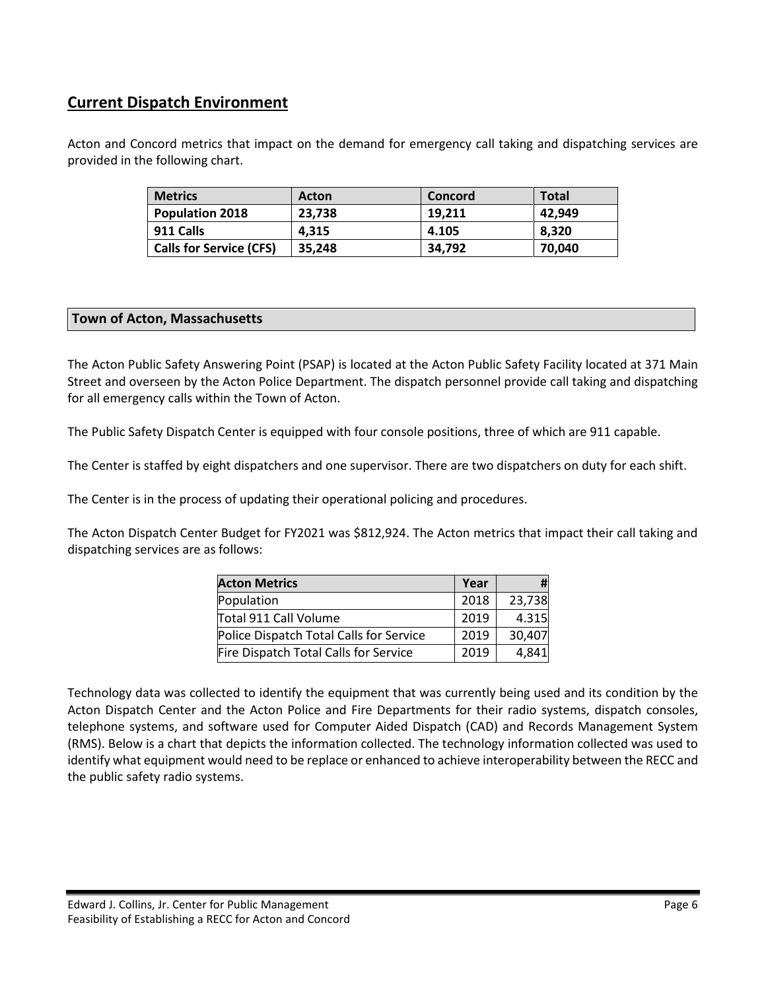## <span id="page-6-0"></span>**Current Dispatch Environment**

Acton and Concord metrics that impact on the demand for emergency call taking and dispatching services are provided in the following chart.

| <b>Metrics</b>                 | <b>Acton</b> | Concord | <b>Total</b> |
|--------------------------------|--------------|---------|--------------|
| <b>Population 2018</b>         | 23,738       | 19.211  | 42.949       |
| 911 Calls                      | 4.315        | 4.105   | 8.320        |
| <b>Calls for Service (CFS)</b> | 35.248       | 34,792  | 70,040       |

#### **Town of Acton, Massachusetts**

The Acton Public Safety Answering Point (PSAP) is located at the Acton Public Safety Facility located at 371 Main Street and overseen by the Acton Police Department. The dispatch personnel provide call taking and dispatching for all emergency calls within the Town of Acton.

The Public Safety Dispatch Center is equipped with four console positions, three of which are 911 capable.

The Center is staffed by eight dispatchers and one supervisor. There are two dispatchers on duty for each shift.

The Center is in the process of updating their operational policing and procedures.

The Acton Dispatch Center Budget for FY2021 was \$812,924. The Acton metrics that impact their call taking and dispatching services are as follows:

| <b>Acton Metrics</b>                    | Year |        |
|-----------------------------------------|------|--------|
| Population                              | 2018 | 23,738 |
| Total 911 Call Volume                   | 2019 | 4.315  |
| Police Dispatch Total Calls for Service | 2019 | 30,407 |
| Fire Dispatch Total Calls for Service   | 2019 | 4,841  |

Technology data was collected to identify the equipment that was currently being used and its condition by the Acton Dispatch Center and the Acton Police and Fire Departments for their radio systems, dispatch consoles, telephone systems, and software used for Computer Aided Dispatch (CAD) and Records Management System (RMS). Below is a chart that depicts the information collected. The technology information collected was used to identify what equipment would need to be replace or enhanced to achieve interoperability between the RECC and the public safety radio systems.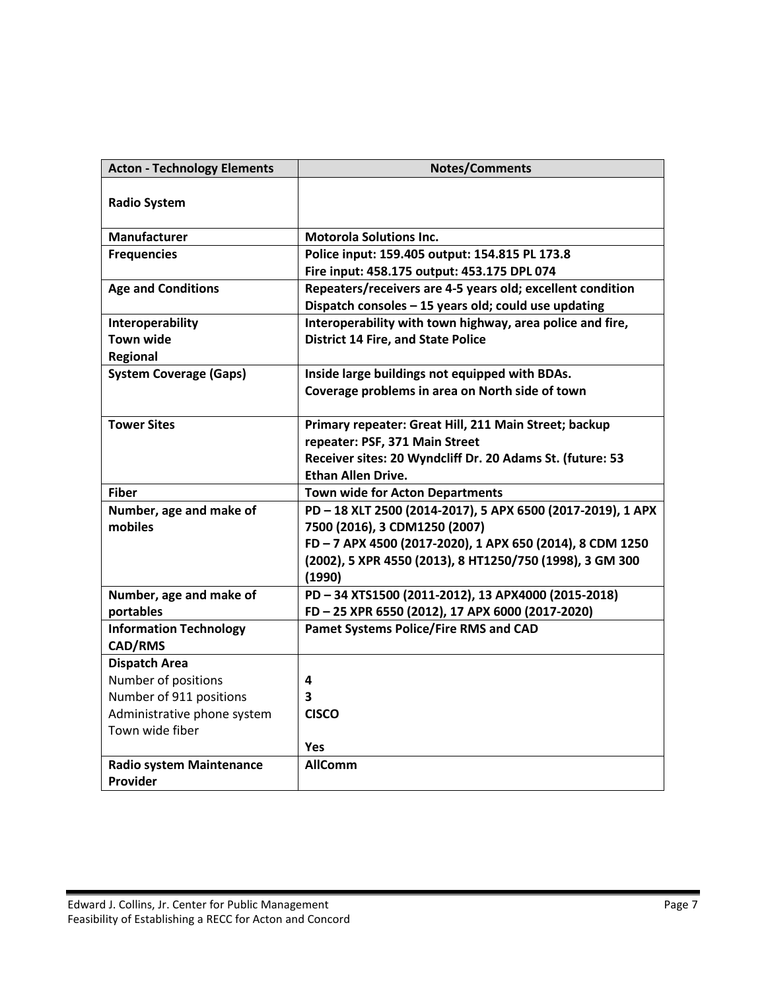| <b>Acton - Technology Elements</b> | <b>Notes/Comments</b>                                      |
|------------------------------------|------------------------------------------------------------|
| <b>Radio System</b>                |                                                            |
| <b>Manufacturer</b>                | <b>Motorola Solutions Inc.</b>                             |
| <b>Frequencies</b>                 | Police input: 159.405 output: 154.815 PL 173.8             |
|                                    | Fire input: 458.175 output: 453.175 DPL 074                |
| <b>Age and Conditions</b>          | Repeaters/receivers are 4-5 years old; excellent condition |
|                                    | Dispatch consoles - 15 years old; could use updating       |
| Interoperability                   | Interoperability with town highway, area police and fire,  |
| <b>Town wide</b>                   | <b>District 14 Fire, and State Police</b>                  |
| <b>Regional</b>                    |                                                            |
| <b>System Coverage (Gaps)</b>      | Inside large buildings not equipped with BDAs.             |
|                                    | Coverage problems in area on North side of town            |
| <b>Tower Sites</b>                 | Primary repeater: Great Hill, 211 Main Street; backup      |
|                                    | repeater: PSF, 371 Main Street                             |
|                                    | Receiver sites: 20 Wyndcliff Dr. 20 Adams St. (future: 53  |
|                                    | <b>Ethan Allen Drive.</b>                                  |
| <b>Fiber</b>                       | <b>Town wide for Acton Departments</b>                     |
| Number, age and make of            | PD-18 XLT 2500 (2014-2017), 5 APX 6500 (2017-2019), 1 APX  |
| mobiles                            | 7500 (2016), 3 CDM1250 (2007)                              |
|                                    | FD-7 APX 4500 (2017-2020), 1 APX 650 (2014), 8 CDM 1250    |
|                                    | (2002), 5 XPR 4550 (2013), 8 HT1250/750 (1998), 3 GM 300   |
|                                    | (1990)                                                     |
| Number, age and make of            | PD-34 XTS1500 (2011-2012), 13 APX4000 (2015-2018)          |
| portables                          | FD-25 XPR 6550 (2012), 17 APX 6000 (2017-2020)             |
| <b>Information Technology</b>      | <b>Pamet Systems Police/Fire RMS and CAD</b>               |
| CAD/RMS                            |                                                            |
| <b>Dispatch Area</b>               |                                                            |
| Number of positions                | 4                                                          |
| Number of 911 positions            | 3                                                          |
| Administrative phone system        | <b>CISCO</b>                                               |
| Town wide fiber                    |                                                            |
|                                    | <b>Yes</b>                                                 |
| <b>Radio system Maintenance</b>    | <b>AllComm</b>                                             |
| Provider                           |                                                            |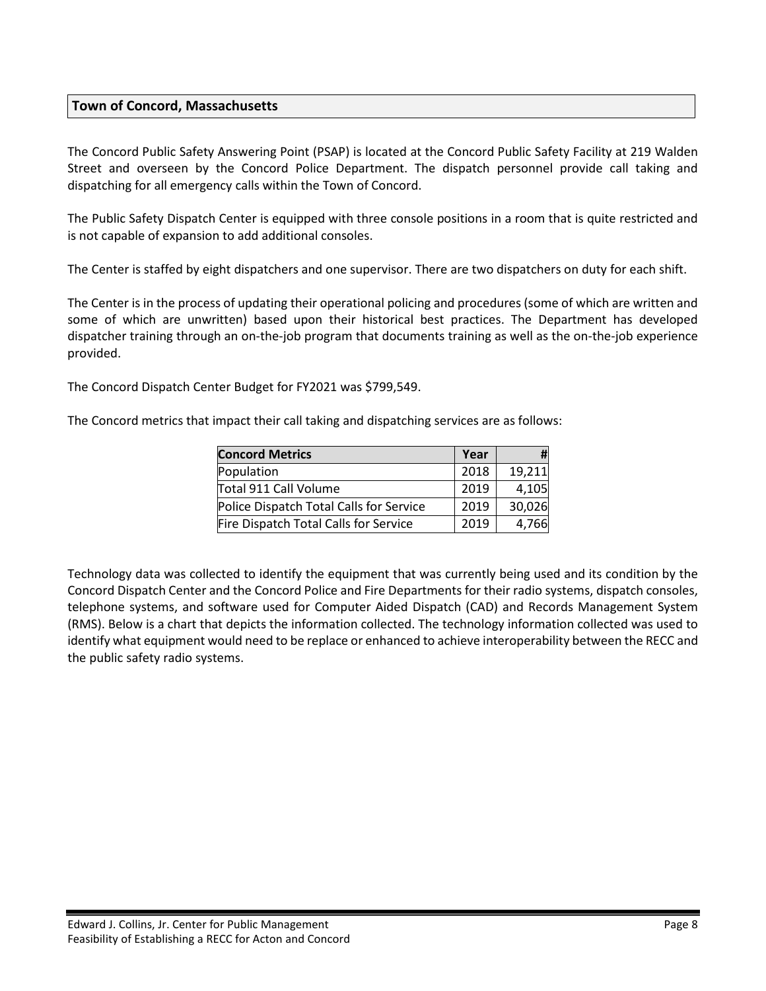#### **Town of Concord, Massachusetts**

The Concord Public Safety Answering Point (PSAP) is located at the Concord Public Safety Facility at 219 Walden Street and overseen by the Concord Police Department. The dispatch personnel provide call taking and dispatching for all emergency calls within the Town of Concord.

The Public Safety Dispatch Center is equipped with three console positions in a room that is quite restricted and is not capable of expansion to add additional consoles.

The Center is staffed by eight dispatchers and one supervisor. There are two dispatchers on duty for each shift.

The Center is in the process of updating their operational policing and procedures (some of which are written and some of which are unwritten) based upon their historical best practices. The Department has developed dispatcher training through an on-the-job program that documents training as well as the on-the-job experience provided.

The Concord Dispatch Center Budget for FY2021 was \$799,549.

The Concord metrics that impact their call taking and dispatching services are as follows:

| <b>Concord Metrics</b>                  | Year |        |
|-----------------------------------------|------|--------|
| Population                              | 2018 | 19,211 |
| Total 911 Call Volume                   | 2019 | 4,105  |
| Police Dispatch Total Calls for Service | 2019 | 30,026 |
| Fire Dispatch Total Calls for Service   | 2019 | 4,766  |

Technology data was collected to identify the equipment that was currently being used and its condition by the Concord Dispatch Center and the Concord Police and Fire Departments for their radio systems, dispatch consoles, telephone systems, and software used for Computer Aided Dispatch (CAD) and Records Management System (RMS). Below is a chart that depicts the information collected. The technology information collected was used to identify what equipment would need to be replace or enhanced to achieve interoperability between the RECC and the public safety radio systems.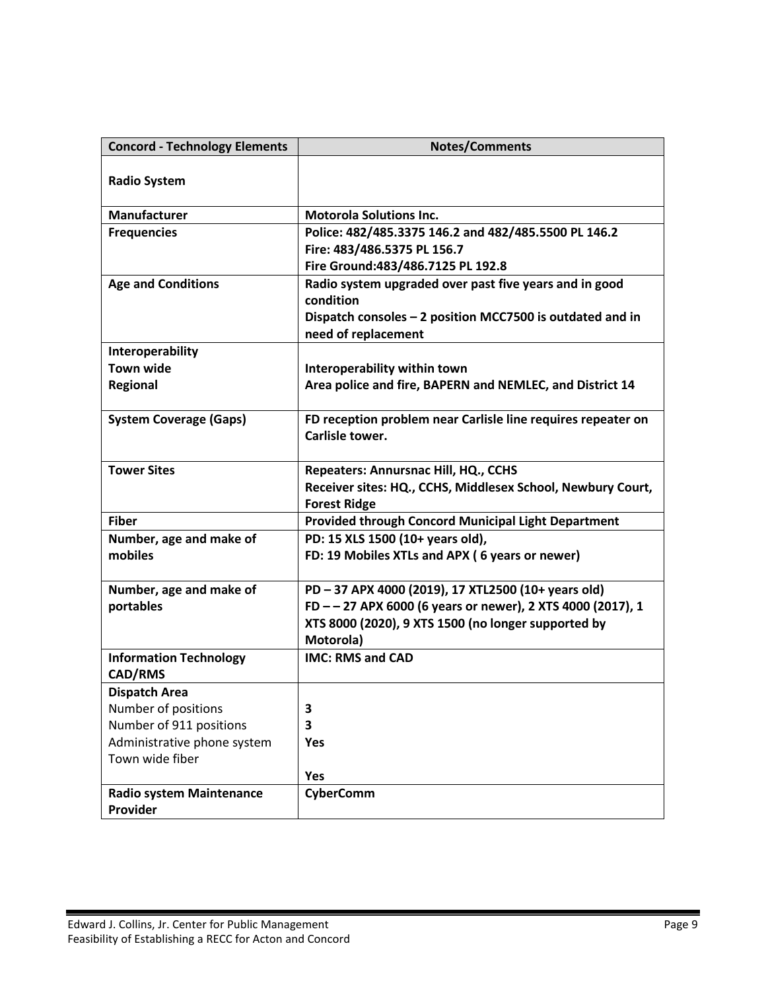| <b>Concord - Technology Elements</b>            | <b>Notes/Comments</b>                                                           |
|-------------------------------------------------|---------------------------------------------------------------------------------|
| <b>Radio System</b>                             |                                                                                 |
| <b>Manufacturer</b>                             | <b>Motorola Solutions Inc.</b>                                                  |
| <b>Frequencies</b>                              | Police: 482/485.3375 146.2 and 482/485.5500 PL 146.2                            |
|                                                 | Fire: 483/486.5375 PL 156.7                                                     |
|                                                 | Fire Ground: 483/486.7125 PL 192.8                                              |
| <b>Age and Conditions</b>                       | Radio system upgraded over past five years and in good<br>condition             |
|                                                 | Dispatch consoles - 2 position MCC7500 is outdated and in                       |
|                                                 | need of replacement                                                             |
| Interoperability                                |                                                                                 |
| <b>Town wide</b>                                | Interoperability within town                                                    |
| <b>Regional</b>                                 | Area police and fire, BAPERN and NEMLEC, and District 14                        |
| <b>System Coverage (Gaps)</b>                   | FD reception problem near Carlisle line requires repeater on<br>Carlisle tower. |
| <b>Tower Sites</b>                              | Repeaters: Annursnac Hill, HQ., CCHS                                            |
|                                                 | Receiver sites: HQ., CCHS, Middlesex School, Newbury Court,                     |
|                                                 | <b>Forest Ridge</b>                                                             |
| <b>Fiber</b>                                    | Provided through Concord Municipal Light Department                             |
| Number, age and make of                         | PD: 15 XLS 1500 (10+ years old),                                                |
| mobiles                                         | FD: 19 Mobiles XTLs and APX (6 years or newer)                                  |
| Number, age and make of                         | PD-37 APX 4000 (2019), 17 XTL2500 (10+ years old)                               |
| portables                                       | FD--27 APX 6000 (6 years or newer), 2 XTS 4000 (2017), 1                        |
|                                                 | XTS 8000 (2020), 9 XTS 1500 (no longer supported by                             |
|                                                 | Motorola)                                                                       |
| <b>Information Technology</b><br><b>CAD/RMS</b> | <b>IMC: RMS and CAD</b>                                                         |
| <b>Dispatch Area</b>                            |                                                                                 |
| Number of positions                             | 3                                                                               |
| Number of 911 positions                         | 3                                                                               |
| Administrative phone system                     | Yes                                                                             |
| Town wide fiber                                 |                                                                                 |
|                                                 | Yes                                                                             |
| <b>Radio system Maintenance</b>                 | CyberComm                                                                       |
| Provider                                        |                                                                                 |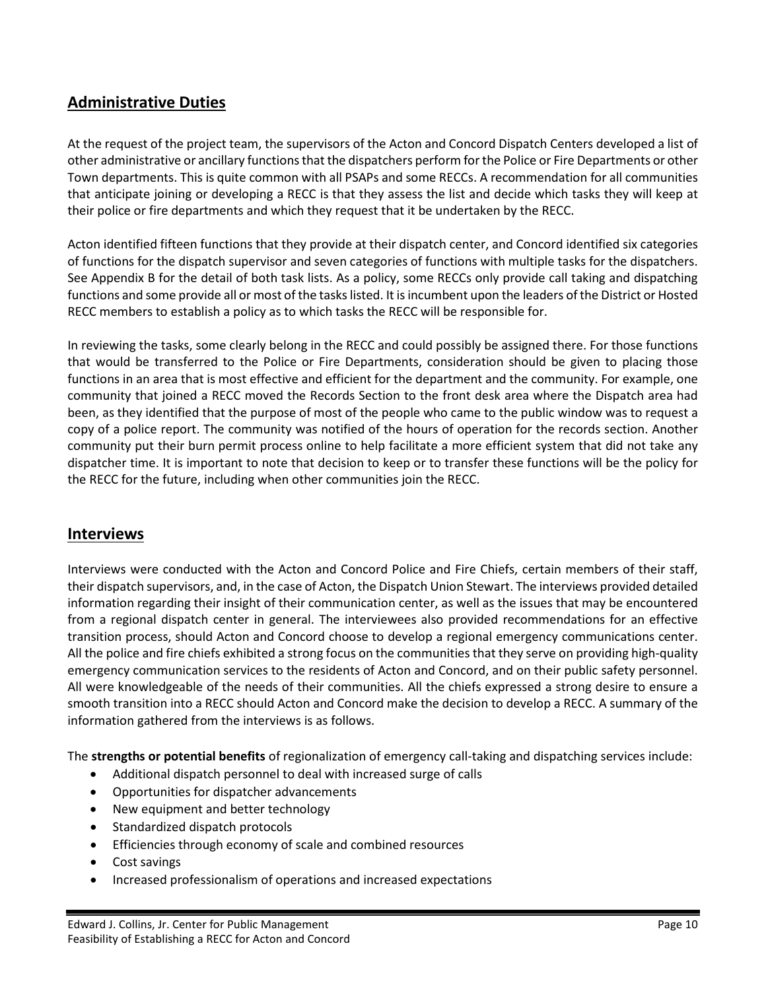## <span id="page-10-0"></span>**Administrative Duties**

At the request of the project team, the supervisors of the Acton and Concord Dispatch Centers developed a list of other administrative or ancillary functions that the dispatchers perform for the Police or Fire Departments or other Town departments. This is quite common with all PSAPs and some RECCs. A recommendation for all communities that anticipate joining or developing a RECC is that they assess the list and decide which tasks they will keep at their police or fire departments and which they request that it be undertaken by the RECC.

Acton identified fifteen functions that they provide at their dispatch center, and Concord identified six categories of functions for the dispatch supervisor and seven categories of functions with multiple tasks for the dispatchers. See Appendix B for the detail of both task lists. As a policy, some RECCs only provide call taking and dispatching functions and some provide all or most of the tasks listed. It is incumbent upon the leaders of the District or Hosted RECC members to establish a policy as to which tasks the RECC will be responsible for.

In reviewing the tasks, some clearly belong in the RECC and could possibly be assigned there. For those functions that would be transferred to the Police or Fire Departments, consideration should be given to placing those functions in an area that is most effective and efficient for the department and the community. For example, one community that joined a RECC moved the Records Section to the front desk area where the Dispatch area had been, as they identified that the purpose of most of the people who came to the public window was to request a copy of a police report. The community was notified of the hours of operation for the records section. Another community put their burn permit process online to help facilitate a more efficient system that did not take any dispatcher time. It is important to note that decision to keep or to transfer these functions will be the policy for the RECC for the future, including when other communities join the RECC.

#### <span id="page-10-1"></span>**Interviews**

Interviews were conducted with the Acton and Concord Police and Fire Chiefs, certain members of their staff, their dispatch supervisors, and, in the case of Acton, the Dispatch Union Stewart. The interviews provided detailed information regarding their insight of their communication center, as well as the issues that may be encountered from a regional dispatch center in general. The interviewees also provided recommendations for an effective transition process, should Acton and Concord choose to develop a regional emergency communications center. All the police and fire chiefs exhibited a strong focus on the communities that they serve on providing high-quality emergency communication services to the residents of Acton and Concord, and on their public safety personnel. All were knowledgeable of the needs of their communities. All the chiefs expressed a strong desire to ensure a smooth transition into a RECC should Acton and Concord make the decision to develop a RECC. A summary of the information gathered from the interviews is as follows.

The **strengths or potential benefits** of regionalization of emergency call-taking and dispatching services include:

- Additional dispatch personnel to deal with increased surge of calls
- Opportunities for dispatcher advancements
- New equipment and better technology
- Standardized dispatch protocols
- Efficiencies through economy of scale and combined resources
- Cost savings
- Increased professionalism of operations and increased expectations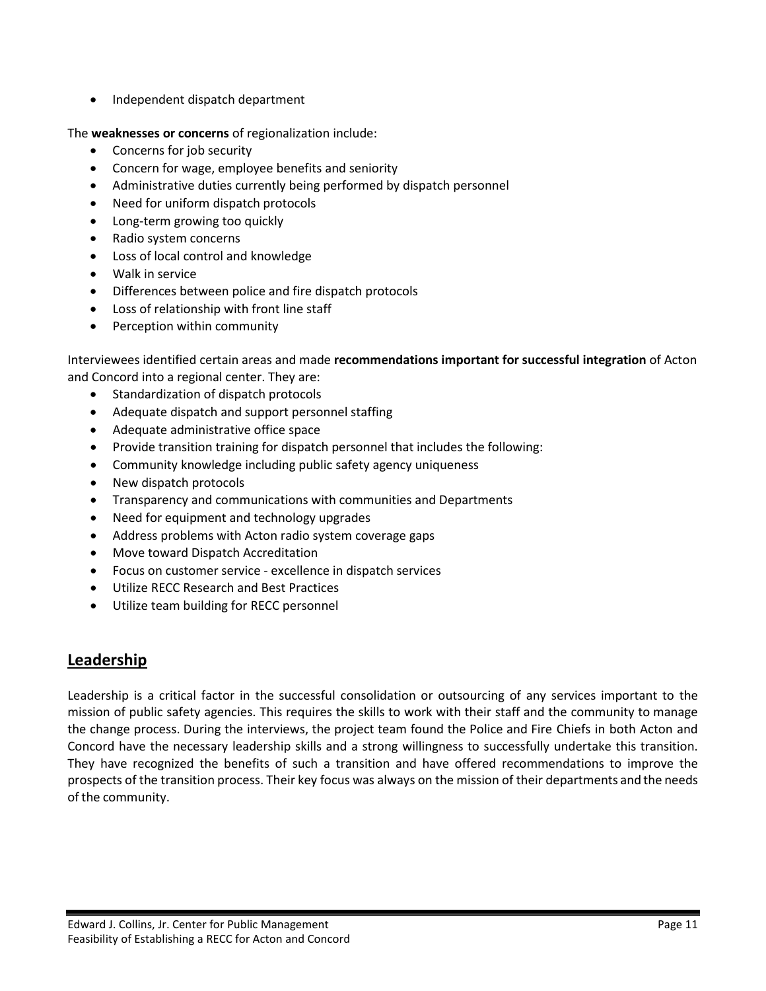• Independent dispatch department

The **weaknesses or concerns** of regionalization include:

- Concerns for job security
- Concern for wage, employee benefits and seniority
- Administrative duties currently being performed by dispatch personnel
- Need for uniform dispatch protocols
- Long-term growing too quickly
- Radio system concerns
- Loss of local control and knowledge
- Walk in service
- Differences between police and fire dispatch protocols
- Loss of relationship with front line staff
- Perception within community

Interviewees identified certain areas and made **recommendations important for successful integration** of Acton and Concord into a regional center. They are:

- Standardization of dispatch protocols
- Adequate dispatch and support personnel staffing
- Adequate administrative office space
- Provide transition training for dispatch personnel that includes the following:
- Community knowledge including public safety agency uniqueness
- New dispatch protocols
- Transparency and communications with communities and Departments
- Need for equipment and technology upgrades
- Address problems with Acton radio system coverage gaps
- Move toward Dispatch Accreditation
- Focus on customer service excellence in dispatch services
- Utilize RECC Research and Best Practices
- Utilize team building for RECC personnel

## <span id="page-11-0"></span>**Leadership**

Leadership is a critical factor in the successful consolidation or outsourcing of any services important to the mission of public safety agencies. This requires the skills to work with their staff and the community to manage the change process. During the interviews, the project team found the Police and Fire Chiefs in both Acton and Concord have the necessary leadership skills and a strong willingness to successfully undertake this transition. They have recognized the benefits of such a transition and have offered recommendations to improve the prospects of the transition process. Their key focus was always on the mission of their departments and the needs of the community.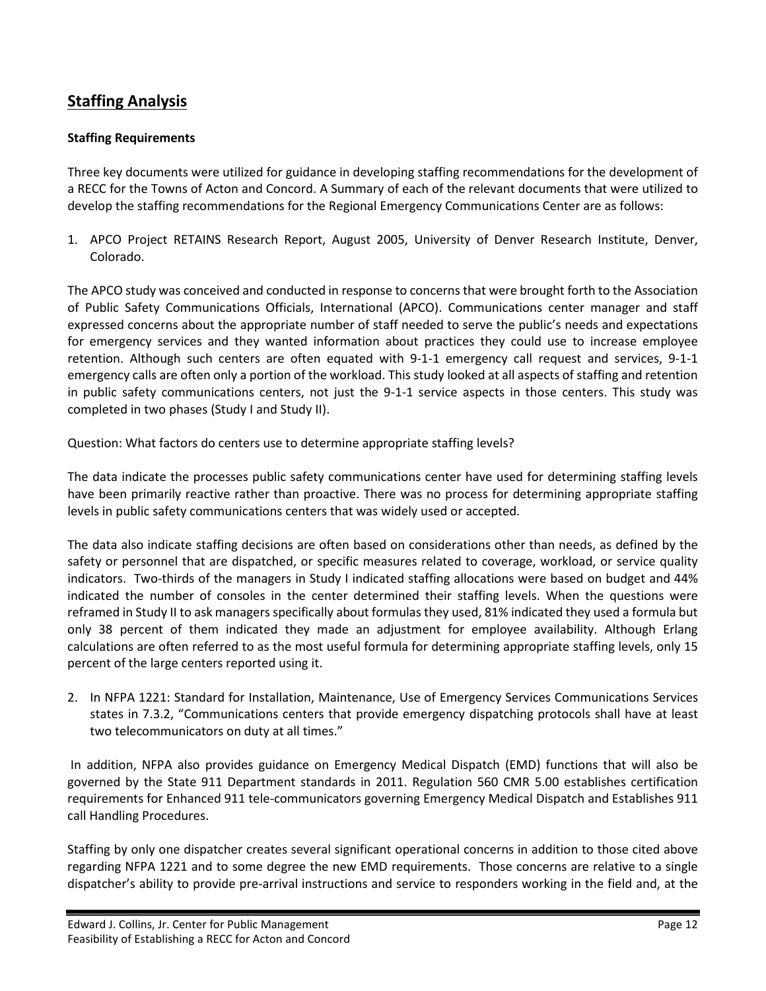## <span id="page-12-0"></span>**Staffing Analysis**

#### **Staffing Requirements**

Three key documents were utilized for guidance in developing staffing recommendations for the development of a RECC for the Towns of Acton and Concord. A Summary of each of the relevant documents that were utilized to develop the staffing recommendations for the Regional Emergency Communications Center are as follows:

1. APCO Project RETAINS Research Report, August 2005, University of Denver Research Institute, Denver, Colorado.

The APCO study was conceived and conducted in response to concerns that were brought forth to the Association of Public Safety Communications Officials, International (APCO). Communications center manager and staff expressed concerns about the appropriate number of staff needed to serve the public's needs and expectations for emergency services and they wanted information about practices they could use to increase employee retention. Although such centers are often equated with 9-1-1 emergency call request and services, 9-1-1 emergency calls are often only a portion of the workload. This study looked at all aspects of staffing and retention in public safety communications centers, not just the 9-1-1 service aspects in those centers. This study was completed in two phases (Study I and Study II).

Question: What factors do centers use to determine appropriate staffing levels?

The data indicate the processes public safety communications center have used for determining staffing levels have been primarily reactive rather than proactive. There was no process for determining appropriate staffing levels in public safety communications centers that was widely used or accepted.

The data also indicate staffing decisions are often based on considerations other than needs, as defined by the safety or personnel that are dispatched, or specific measures related to coverage, workload, or service quality indicators. Two-thirds of the managers in Study I indicated staffing allocations were based on budget and 44% indicated the number of consoles in the center determined their staffing levels. When the questions were reframed in Study II to ask managers specifically about formulas they used, 81% indicated they used a formula but only 38 percent of them indicated they made an adjustment for employee availability. Although Erlang calculations are often referred to as the most useful formula for determining appropriate staffing levels, only 15 percent of the large centers reported using it.

2. In NFPA 1221: Standard for Installation, Maintenance, Use of Emergency Services Communications Services states in 7.3.2, "Communications centers that provide emergency dispatching protocols shall have at least two telecommunicators on duty at all times."

In addition, NFPA also provides guidance on Emergency Medical Dispatch (EMD) functions that will also be governed by the State 911 Department standards in 2011. Regulation 560 CMR 5.00 establishes certification requirements for Enhanced 911 tele-communicators governing Emergency Medical Dispatch and Establishes 911 call Handling Procedures.

Staffing by only one dispatcher creates several significant operational concerns in addition to those cited above regarding NFPA 1221 and to some degree the new EMD requirements. Those concerns are relative to a single dispatcher's ability to provide pre-arrival instructions and service to responders working in the field and, at the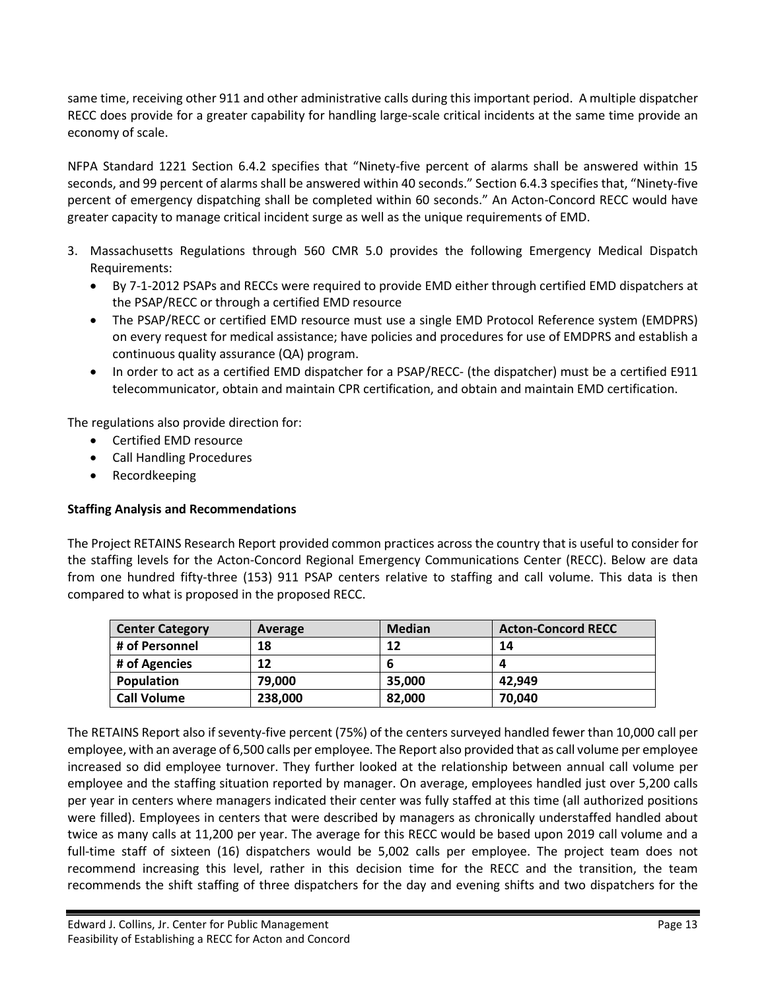same time, receiving other 911 and other administrative calls during this important period. A multiple dispatcher RECC does provide for a greater capability for handling large-scale critical incidents at the same time provide an economy of scale.

NFPA Standard 1221 Section 6.4.2 specifies that "Ninety-five percent of alarms shall be answered within 15 seconds, and 99 percent of alarms shall be answered within 40 seconds." Section 6.4.3 specifies that, "Ninety-five percent of emergency dispatching shall be completed within 60 seconds." An Acton-Concord RECC would have greater capacity to manage critical incident surge as well as the unique requirements of EMD.

- 3. Massachusetts Regulations through 560 CMR 5.0 provides the following Emergency Medical Dispatch Requirements:
	- By 7-1-2012 PSAPs and RECCs were required to provide EMD either through certified EMD dispatchers at the PSAP/RECC or through a certified EMD resource
	- The PSAP/RECC or certified EMD resource must use a single EMD Protocol Reference system (EMDPRS) on every request for medical assistance; have policies and procedures for use of EMDPRS and establish a continuous quality assurance (QA) program.
	- In order to act as a certified EMD dispatcher for a PSAP/RECC- (the dispatcher) must be a certified E911 telecommunicator, obtain and maintain CPR certification, and obtain and maintain EMD certification.

The regulations also provide direction for:

- Certified EMD resource
- Call Handling Procedures
- Recordkeeping

#### **Staffing Analysis and Recommendations**

The Project RETAINS Research Report provided common practices across the country that is useful to consider for the staffing levels for the Acton-Concord Regional Emergency Communications Center (RECC). Below are data from one hundred fifty-three (153) 911 PSAP centers relative to staffing and call volume. This data is then compared to what is proposed in the proposed RECC.

| <b>Center Category</b> | Average | <b>Median</b> | <b>Acton-Concord RECC</b> |
|------------------------|---------|---------------|---------------------------|
| # of Personnel         | 18      | 12            | 14                        |
| # of Agencies          | 12      | o             |                           |
| Population             | 79.000  | 35,000        | 42.949                    |
| <b>Call Volume</b>     | 238,000 | 82,000        | 70,040                    |

The RETAINS Report also if seventy-five percent (75%) of the centers surveyed handled fewer than 10,000 call per employee, with an average of 6,500 calls per employee. The Report also provided that as call volume per employee increased so did employee turnover. They further looked at the relationship between annual call volume per employee and the staffing situation reported by manager. On average, employees handled just over 5,200 calls per year in centers where managers indicated their center was fully staffed at this time (all authorized positions were filled). Employees in centers that were described by managers as chronically understaffed handled about twice as many calls at 11,200 per year. The average for this RECC would be based upon 2019 call volume and a full-time staff of sixteen (16) dispatchers would be 5,002 calls per employee. The project team does not recommend increasing this level, rather in this decision time for the RECC and the transition, the team recommends the shift staffing of three dispatchers for the day and evening shifts and two dispatchers for the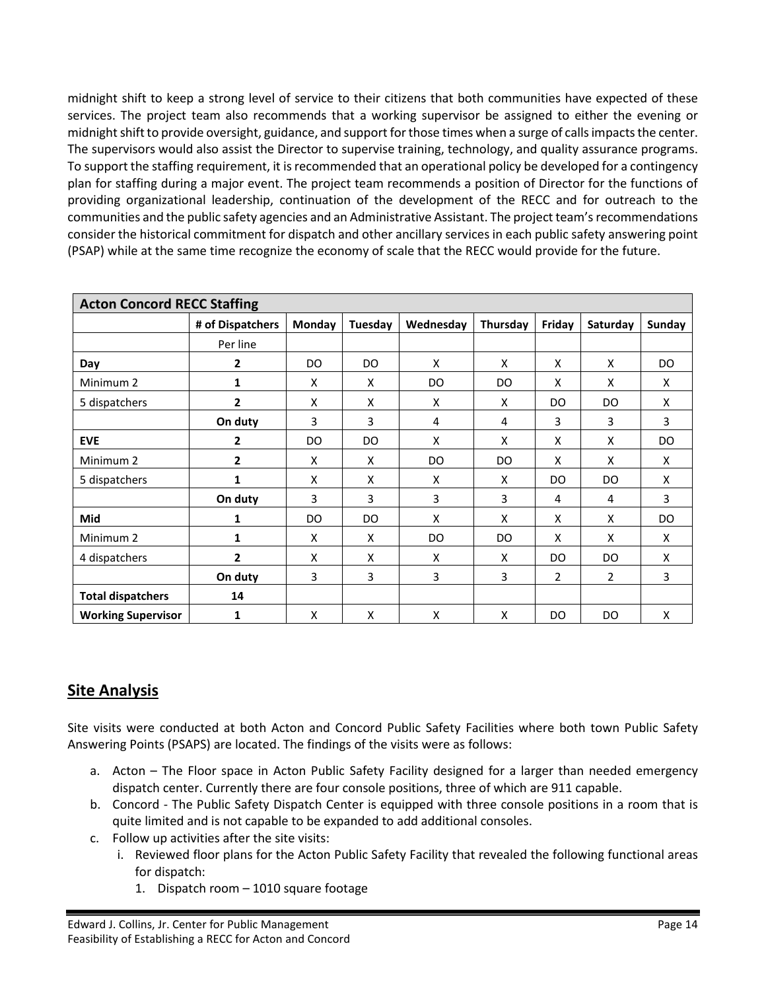midnight shift to keep a strong level of service to their citizens that both communities have expected of these services. The project team also recommends that a working supervisor be assigned to either the evening or midnight shift to provide oversight, guidance, and support for those times when a surge of calls impacts the center. The supervisors would also assist the Director to supervise training, technology, and quality assurance programs. To support the staffing requirement, it is recommended that an operational policy be developed for a contingency plan for staffing during a major event. The project team recommends a position of Director for the functions of providing organizational leadership, continuation of the development of the RECC and for outreach to the communities and the public safety agencies and an Administrative Assistant. The project team'srecommendations consider the historical commitment for dispatch and other ancillary services in each public safety answering point (PSAP) while at the same time recognize the economy of scale that the RECC would provide for the future.

| <b>Acton Concord RECC Staffing</b> |                  |        |         |           |          |                |                |        |
|------------------------------------|------------------|--------|---------|-----------|----------|----------------|----------------|--------|
|                                    | # of Dispatchers | Monday | Tuesday | Wednesday | Thursday | Friday         | Saturday       | Sunday |
|                                    | Per line         |        |         |           |          |                |                |        |
| Day                                | 2                | DO.    | DO      | X         | X        | X              | X              | DO     |
| Minimum <sub>2</sub>               | 1                | X      | X       | DO        | DO       | X              | X              | X      |
| 5 dispatchers                      | $\mathbf{2}$     | X      | X       | X         | X        | DO.            | DO             | X      |
|                                    | On duty          | 3      | 3       | 4         | 4        | 3              | 3              | 3      |
| <b>EVE</b>                         | 2                | DO.    | DO      | X         | x        | X              | X              | DO     |
| Minimum <sub>2</sub>               | $\overline{2}$   | X      | x       | DO.       | DO       | x              | X              | X      |
| 5 dispatchers                      | 1                | X      | X       | X         | X        | DO.            | DO             | X      |
|                                    | On duty          | 3      | 3       | 3         | 3        | 4              | 4              | 3      |
| Mid                                | 1                | DO     | DO.     | X         | X        | X              | X              | DO     |
| Minimum 2                          | 1                | X      | X       | DO        | DO       | X              | X              | X      |
| 4 dispatchers                      | 2                | X      | X       | X         | X        | DO             | DO.            | X      |
|                                    | On duty          | 3      | 3       | 3         | 3        | $\overline{2}$ | $\overline{2}$ | 3      |
| <b>Total dispatchers</b>           | 14               |        |         |           |          |                |                |        |
| <b>Working Supervisor</b>          | 1                | X      | x       | X         | X        | DO             | DO             | X      |

## <span id="page-14-0"></span>**Site Analysis**

Site visits were conducted at both Acton and Concord Public Safety Facilities where both town Public Safety Answering Points (PSAPS) are located. The findings of the visits were as follows:

- a. Acton The Floor space in Acton Public Safety Facility designed for a larger than needed emergency dispatch center. Currently there are four console positions, three of which are 911 capable.
- b. Concord The Public Safety Dispatch Center is equipped with three console positions in a room that is quite limited and is not capable to be expanded to add additional consoles.
- c. Follow up activities after the site visits:
	- i. Reviewed floor plans for the Acton Public Safety Facility that revealed the following functional areas for dispatch:
		- 1. Dispatch room 1010 square footage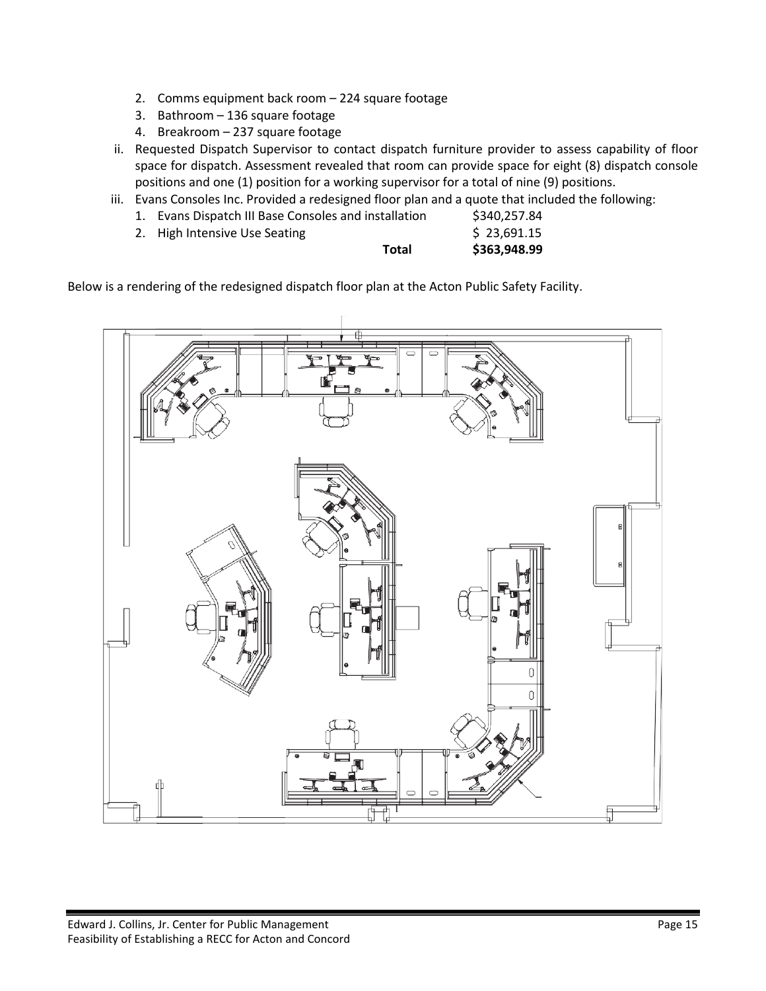- 2. Comms equipment back room 224 square footage
- 3. Bathroom 136 square footage
- 4. Breakroom 237 square footage
- ii. Requested Dispatch Supervisor to contact dispatch furniture provider to assess capability of floor space for dispatch. Assessment revealed that room can provide space for eight (8) dispatch console positions and one (1) position for a working supervisor for a total of nine (9) positions.
- iii. Evans Consoles Inc. Provided a redesigned floor plan and a quote that included the following:

| Total                                                | \$363,948.99 |
|------------------------------------------------------|--------------|
| 2. High Intensive Use Seating                        | \$23,691.15  |
| 1. Evans Dispatch III Base Consoles and installation | \$340,257.84 |

Below is a rendering of the redesigned dispatch floor plan at the Acton Public Safety Facility.

<span id="page-15-0"></span>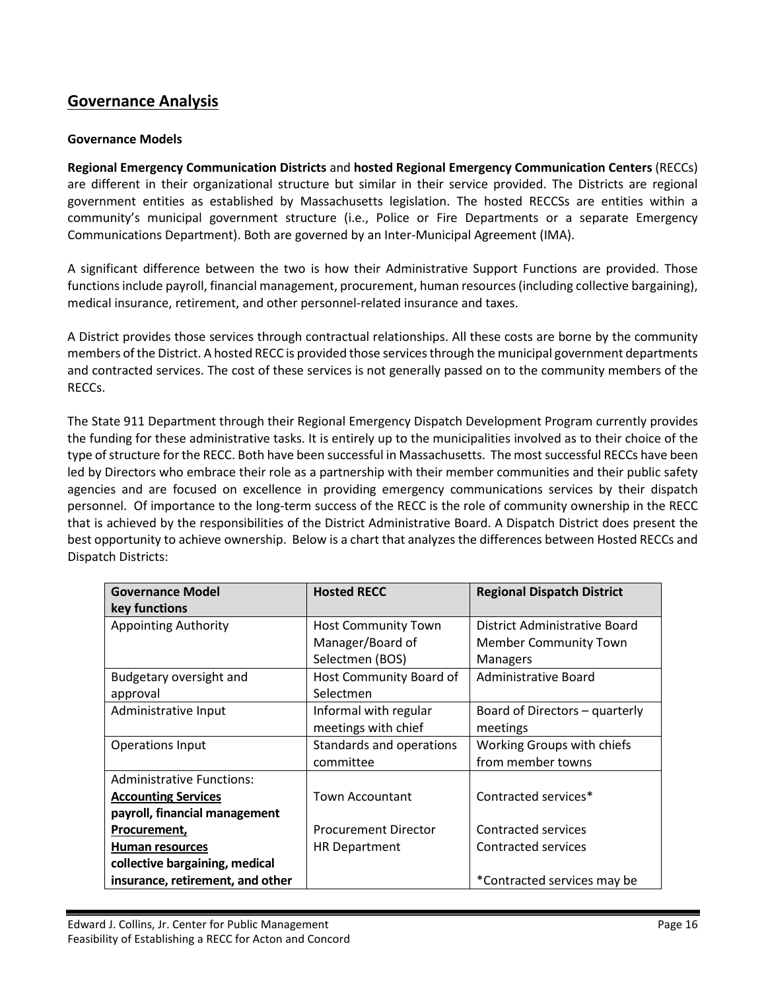## **Governance Analysis**

#### **Governance Models**

**Regional Emergency Communication Districts** and **hosted Regional Emergency Communication Centers** (RECCs) are different in their organizational structure but similar in their service provided. The Districts are regional government entities as established by Massachusetts legislation. The hosted RECCSs are entities within a community's municipal government structure (i.e., Police or Fire Departments or a separate Emergency Communications Department). Both are governed by an Inter-Municipal Agreement (IMA).

A significant difference between the two is how their Administrative Support Functions are provided. Those functions include payroll, financial management, procurement, human resources (including collective bargaining), medical insurance, retirement, and other personnel-related insurance and taxes.

A District provides those services through contractual relationships. All these costs are borne by the community members of the District. A hosted RECC is provided those services through the municipal government departments and contracted services. The cost of these services is not generally passed on to the community members of the RECCs.

The State 911 Department through their Regional Emergency Dispatch Development Program currently provides the funding for these administrative tasks. It is entirely up to the municipalities involved as to their choice of the type of structure forthe RECC. Both have been successful in Massachusetts. The most successful RECCs have been led by Directors who embrace their role as a partnership with their member communities and their public safety agencies and are focused on excellence in providing emergency communications services by their dispatch personnel. Of importance to the long-term success of the RECC is the role of community ownership in the RECC that is achieved by the responsibilities of the District Administrative Board. A Dispatch District does present the best opportunity to achieve ownership. Below is a chart that analyzes the differences between Hosted RECCs and Dispatch Districts:

| <b>Governance Model</b>          | <b>Hosted RECC</b>          | <b>Regional Dispatch District</b> |
|----------------------------------|-----------------------------|-----------------------------------|
| key functions                    |                             |                                   |
| <b>Appointing Authority</b>      | <b>Host Community Town</b>  | District Administrative Board     |
|                                  | Manager/Board of            | <b>Member Community Town</b>      |
|                                  | Selectmen (BOS)             | Managers                          |
| Budgetary oversight and          | Host Community Board of     | Administrative Board              |
| approval                         | Selectmen                   |                                   |
| Administrative Input             | Informal with regular       | Board of Directors – quarterly    |
|                                  | meetings with chief         | meetings                          |
| Operations Input                 | Standards and operations    | Working Groups with chiefs        |
|                                  | committee                   | from member towns                 |
| <b>Administrative Functions:</b> |                             |                                   |
| <b>Accounting Services</b>       | <b>Town Accountant</b>      | Contracted services*              |
| payroll, financial management    |                             |                                   |
| Procurement,                     | <b>Procurement Director</b> | Contracted services               |
| Human resources                  | <b>HR</b> Department        | Contracted services               |
| collective bargaining, medical   |                             |                                   |
| insurance, retirement, and other |                             | *Contracted services may be       |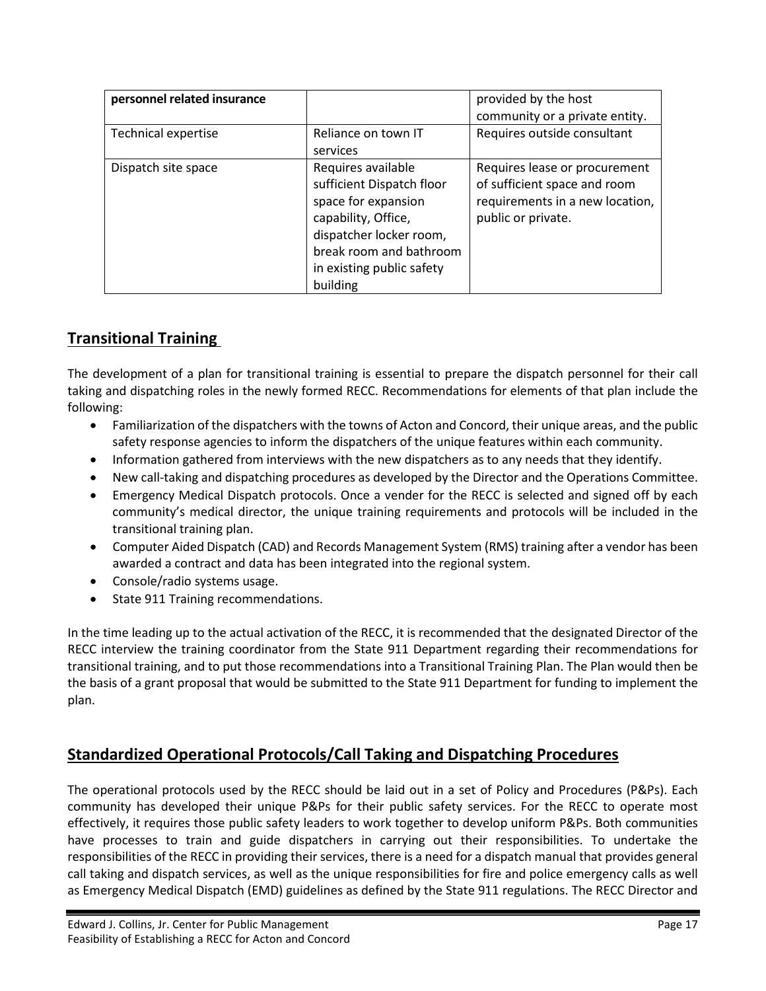| personnel related insurance |                           | provided by the host            |
|-----------------------------|---------------------------|---------------------------------|
|                             |                           | community or a private entity.  |
| <b>Technical expertise</b>  | Reliance on town IT       | Requires outside consultant     |
|                             | services                  |                                 |
| Dispatch site space         | Requires available        | Requires lease or procurement   |
|                             | sufficient Dispatch floor | of sufficient space and room    |
|                             | space for expansion       | requirements in a new location, |
|                             | capability, Office,       | public or private.              |
|                             | dispatcher locker room,   |                                 |
|                             | break room and bathroom   |                                 |
|                             | in existing public safety |                                 |
|                             | building                  |                                 |

## <span id="page-17-0"></span>**Transitional Training**

The development of a plan for transitional training is essential to prepare the dispatch personnel for their call taking and dispatching roles in the newly formed RECC. Recommendations for elements of that plan include the following:

- Familiarization of the dispatchers with the towns of Acton and Concord, their unique areas, and the public safety response agencies to inform the dispatchers of the unique features within each community.
- Information gathered from interviews with the new dispatchers as to any needs that they identify.
- New call-taking and dispatching procedures as developed by the Director and the Operations Committee.
- Emergency Medical Dispatch protocols. Once a vender for the RECC is selected and signed off by each community's medical director, the unique training requirements and protocols will be included in the transitional training plan.
- Computer Aided Dispatch (CAD) and Records Management System (RMS) training after a vendor has been awarded a contract and data has been integrated into the regional system.
- Console/radio systems usage.
- State 911 Training recommendations.

In the time leading up to the actual activation of the RECC, it is recommended that the designated Director of the RECC interview the training coordinator from the State 911 Department regarding their recommendations for transitional training, and to put those recommendations into a Transitional Training Plan. The Plan would then be the basis of a grant proposal that would be submitted to the State 911 Department for funding to implement the plan.

## <span id="page-17-1"></span>**Standardized Operational Protocols/Call Taking and Dispatching Procedures**

The operational protocols used by the RECC should be laid out in a set of Policy and Procedures (P&Ps). Each community has developed their unique P&Ps for their public safety services. For the RECC to operate most effectively, it requires those public safety leaders to work together to develop uniform P&Ps. Both communities have processes to train and guide dispatchers in carrying out their responsibilities. To undertake the responsibilities of the RECC in providing their services, there is a need for a dispatch manual that provides general call taking and dispatch services, as well as the unique responsibilities for fire and police emergency calls as well as Emergency Medical Dispatch (EMD) guidelines as defined by the State 911 regulations. The RECC Director and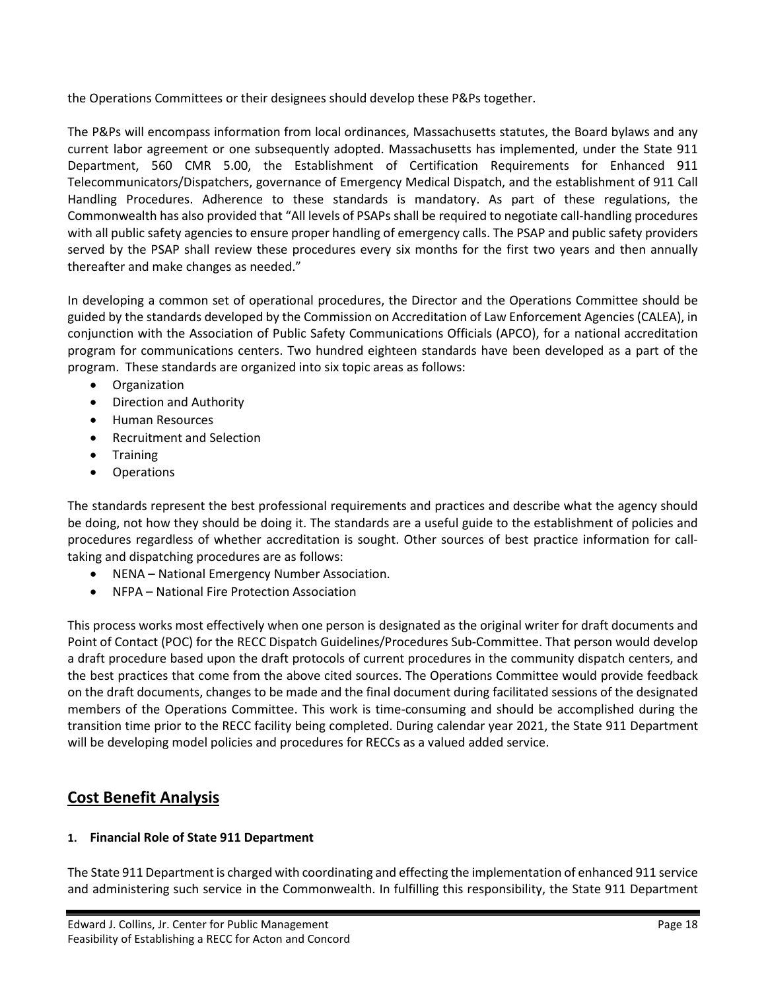the Operations Committees or their designees should develop these P&Ps together.

The P&Ps will encompass information from local ordinances, Massachusetts statutes, the Board bylaws and any current labor agreement or one subsequently adopted. Massachusetts has implemented, under the State 911 Department, 560 CMR 5.00, the Establishment of Certification Requirements for Enhanced 911 Telecommunicators/Dispatchers, governance of Emergency Medical Dispatch, and the establishment of 911 Call Handling Procedures. Adherence to these standards is mandatory. As part of these regulations, the Commonwealth has also provided that "All levels of PSAPs shall be required to negotiate call-handling procedures with all public safety agencies to ensure proper handling of emergency calls. The PSAP and public safety providers served by the PSAP shall review these procedures every six months for the first two years and then annually thereafter and make changes as needed."

In developing a common set of operational procedures, the Director and the Operations Committee should be guided by the standards developed by the Commission on Accreditation of Law Enforcement Agencies (CALEA), in conjunction with the Association of Public Safety Communications Officials (APCO), for a national accreditation program for communications centers. Two hundred eighteen standards have been developed as a part of the program. These standards are organized into six topic areas as follows:

- **Organization**
- Direction and Authority
- Human Resources
- Recruitment and Selection
- Training
- **Operations**

The standards represent the best professional requirements and practices and describe what the agency should be doing, not how they should be doing it. The standards are a useful guide to the establishment of policies and procedures regardless of whether accreditation is sought. Other sources of best practice information for calltaking and dispatching procedures are as follows:

- NENA National Emergency Number Association.
- NFPA National Fire Protection Association

This process works most effectively when one person is designated as the original writer for draft documents and Point of Contact (POC) for the RECC Dispatch Guidelines/Procedures Sub-Committee. That person would develop a draft procedure based upon the draft protocols of current procedures in the community dispatch centers, and the best practices that come from the above cited sources. The Operations Committee would provide feedback on the draft documents, changes to be made and the final document during facilitated sessions of the designated members of the Operations Committee. This work is time-consuming and should be accomplished during the transition time prior to the RECC facility being completed. During calendar year 2021, the State 911 Department will be developing model policies and procedures for RECCs as a valued added service.

## <span id="page-18-0"></span>**Cost Benefit Analysis**

#### **1. Financial Role of State 911 Department**

The State 911 Department is charged with coordinating and effecting the implementation of enhanced 911 service and administering such service in the Commonwealth. In fulfilling this responsibility, the State 911 Department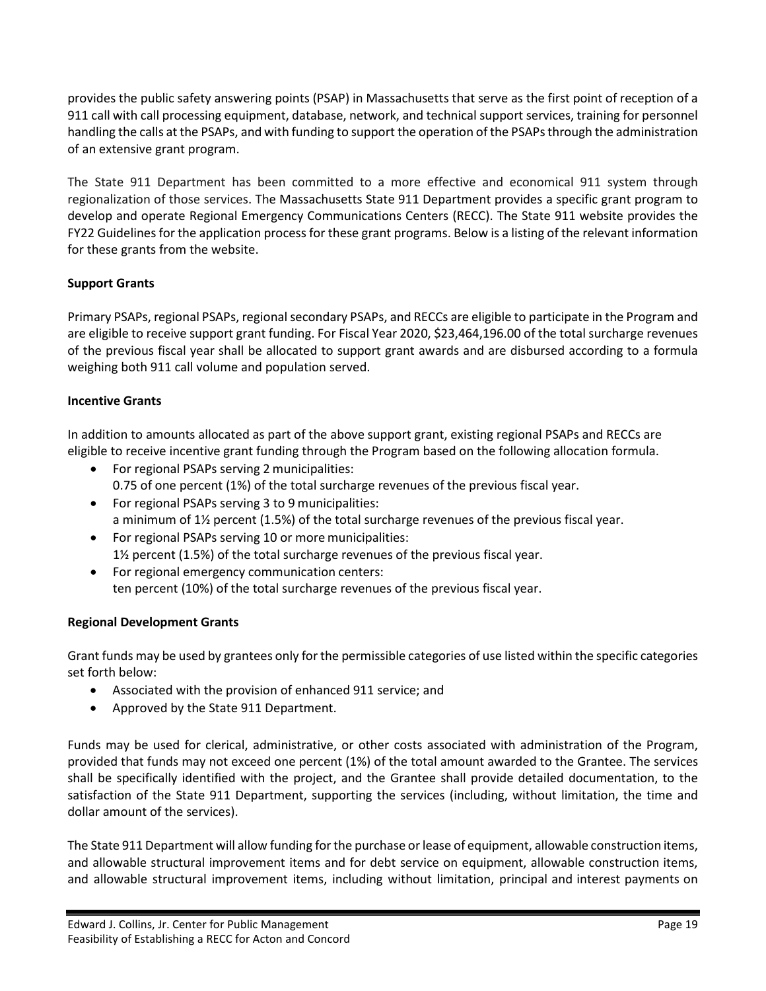provides the public safety answering points (PSAP) in Massachusetts that serve as the first point of reception of a 911 call with call processing equipment, database, network, and technical support services, training for personnel handling the calls at the PSAPs, and with funding to support the operation of the PSAPs through the administration of an extensive grant program.

The State 911 Department has been committed to a more effective and economical 911 system through regionalization of those services. The Massachusetts State 911 Department provides a specific grant program to develop and operate Regional Emergency Communications Centers (RECC). The State 911 website provides the FY22 Guidelines for the application process for these grant programs. Below is a listing of the relevant information for these grants from the website.

#### **Support Grants**

Primary PSAPs, regional PSAPs, regional secondary PSAPs, and RECCs are eligible to participate in the Program and are eligible to receive support grant funding. For Fiscal Year 2020, \$23,464,196.00 of the total surcharge revenues of the previous fiscal year shall be allocated to support grant awards and are disbursed according to a formula weighing both 911 call volume and population served.

#### **Incentive Grants**

In addition to amounts allocated as part of the above support grant, existing regional PSAPs and RECCs are eligible to receive incentive grant funding through the Program based on the following allocation formula.

- For regional PSAPs serving 2 municipalities: 0.75 of one percent (1%) of the total surcharge revenues of the previous fiscal year.
- For regional PSAPs serving 3 to 9 municipalities: a minimum of 1½ percent (1.5%) of the total surcharge revenues of the previous fiscal year.
- For regional PSAPs serving 10 or more municipalities: 1½ percent (1.5%) of the total surcharge revenues of the previous fiscal year.
- For regional emergency communication centers: ten percent (10%) of the total surcharge revenues of the previous fiscal year.

#### **Regional Development Grants**

Grant funds may be used by grantees only for the permissible categories of use listed within the specific categories set forth below:

- Associated with the provision of enhanced 911 service; and
- Approved by the State 911 Department.

Funds may be used for clerical, administrative, or other costs associated with administration of the Program, provided that funds may not exceed one percent (1%) of the total amount awarded to the Grantee. The services shall be specifically identified with the project, and the Grantee shall provide detailed documentation, to the satisfaction of the State 911 Department, supporting the services (including, without limitation, the time and dollar amount of the services).

The State 911 Department will allow funding for the purchase or lease of equipment, allowable construction items, and allowable structural improvement items and for debt service on equipment, allowable construction items, and allowable structural improvement items, including without limitation, principal and interest payments on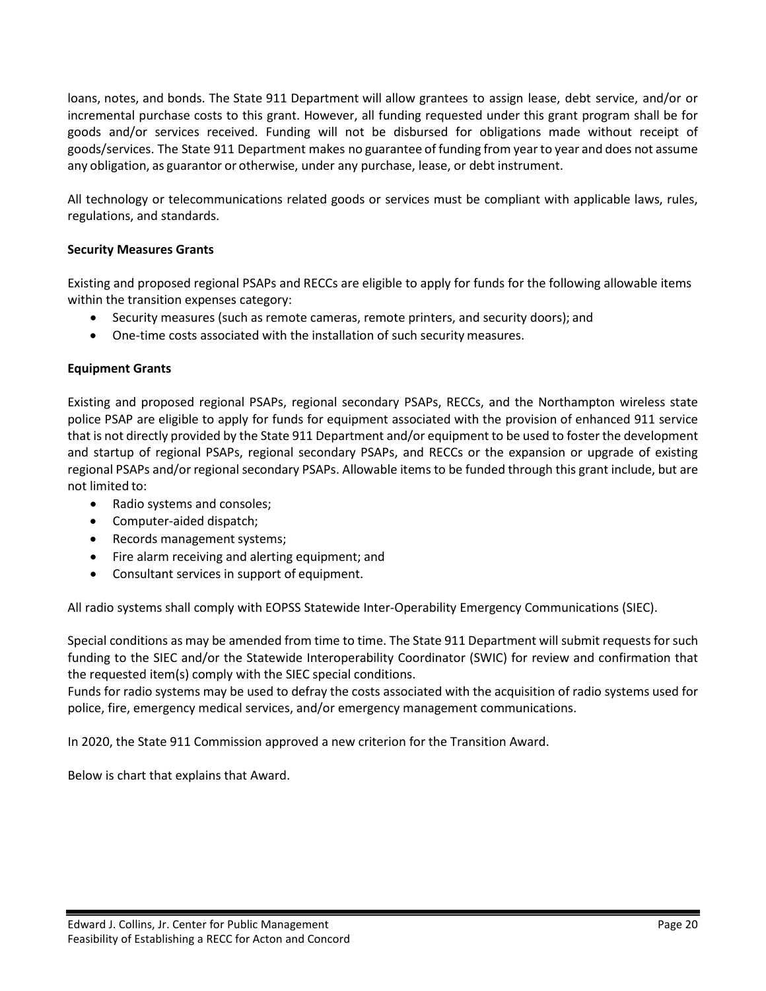loans, notes, and bonds. The State 911 Department will allow grantees to assign lease, debt service, and/or or incremental purchase costs to this grant. However, all funding requested under this grant program shall be for goods and/or services received. Funding will not be disbursed for obligations made without receipt of goods/services. The State 911 Department makes no guarantee of funding from yearto year and does not assume any obligation, as guarantor or otherwise, under any purchase, lease, or debt instrument.

All technology or telecommunications related goods or services must be compliant with applicable laws, rules, regulations, and standards.

#### **Security Measures Grants**

Existing and proposed regional PSAPs and RECCs are eligible to apply for funds for the following allowable items within the transition expenses category:

- Security measures (such as remote cameras, remote printers, and security doors); and
- One-time costs associated with the installation of such security measures.

#### **Equipment Grants**

Existing and proposed regional PSAPs, regional secondary PSAPs, RECCs, and the Northampton wireless state police PSAP are eligible to apply for funds for equipment associated with the provision of enhanced 911 service that is not directly provided by the State 911 Department and/or equipment to be used to foster the development and startup of regional PSAPs, regional secondary PSAPs, and RECCs or the expansion or upgrade of existing regional PSAPs and/or regional secondary PSAPs. Allowable items to be funded through this grant include, but are not limited to:

- Radio systems and consoles;
- Computer-aided dispatch;
- Records management systems;
- Fire alarm receiving and alerting equipment; and
- Consultant services in support of equipment.

All radio systems shall comply with EOPSS Statewide Inter-Operability Emergency Communications (SIEC).

Special conditions as may be amended from time to time. The State 911 Department will submit requests for such funding to the SIEC and/or the Statewide Interoperability Coordinator (SWIC) for review and confirmation that the requested item(s) comply with the SIEC special conditions.

Funds for radio systems may be used to defray the costs associated with the acquisition of radio systems used for police, fire, emergency medical services, and/or emergency management communications.

In 2020, the State 911 Commission approved a new criterion for the Transition Award.

Below is chart that explains that Award.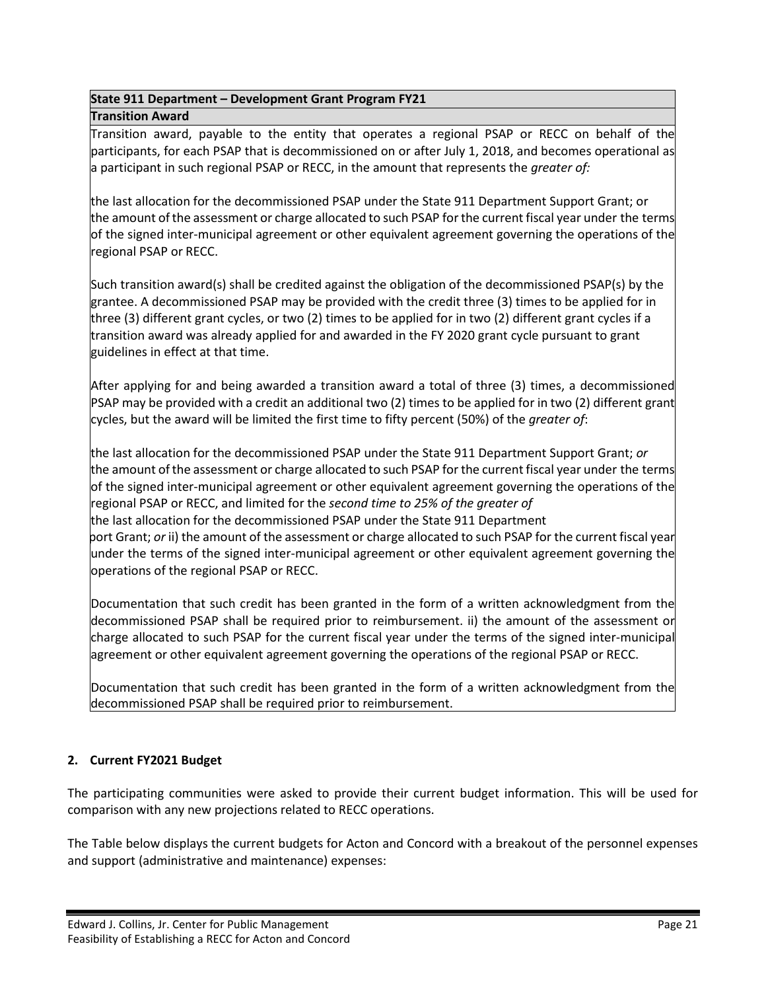#### **State 911 Department – Development Grant Program FY21 Transition Award**

Transition award, payable to the entity that operates a regional PSAP or RECC on behalf of the participants, for each PSAP that is decommissioned on or after July 1, 2018, and becomes operational as a participant in such regional PSAP or RECC, in the amount that represents the *greater of:*

the last allocation for the decommissioned PSAP under the State 911 Department Support Grant; or the amount of the assessment or charge allocated to such PSAP for the current fiscal year under the terms of the signed inter-municipal agreement or other equivalent agreement governing the operations of the regional PSAP or RECC.

Such transition award(s) shall be credited against the obligation of the decommissioned PSAP(s) by the grantee. A decommissioned PSAP may be provided with the credit three (3) times to be applied for in three (3) different grant cycles, or two (2) times to be applied for in two (2) different grant cycles if a transition award was already applied for and awarded in the FY 2020 grant cycle pursuant to grant guidelines in effect at that time.

After applying for and being awarded a transition award a total of three (3) times, a decommissioned PSAP may be provided with a credit an additional two (2) times to be applied for in two (2) different grant cycles, but the award will be limited the first time to fifty percent (50%) of the *greater of*:

the last allocation for the decommissioned PSAP under the State 911 Department Support Grant; *or* the amount of the assessment or charge allocated to such PSAP for the current fiscal year under the terms of the signed inter-municipal agreement or other equivalent agreement governing the operations of the regional PSAP or RECC, and limited for the *second time to 25% of the greater of* the last allocation for the decommissioned PSAP under the State 911 Department port Grant; *or* ii) the amount of the assessment or charge allocated to such PSAP for the current fiscal year under the terms of the signed inter-municipal agreement or other equivalent agreement governing the operations of the regional PSAP or RECC.

Documentation that such credit has been granted in the form of a written acknowledgment from the decommissioned PSAP shall be required prior to reimbursement. ii) the amount of the assessment or charge allocated to such PSAP for the current fiscal year under the terms of the signed inter-municipal agreement or other equivalent agreement governing the operations of the regional PSAP or RECC.

Documentation that such credit has been granted in the form of a written acknowledgment from the decommissioned PSAP shall be required prior to reimbursement.

#### **2. Current FY2021 Budget**

The participating communities were asked to provide their current budget information. This will be used for comparison with any new projections related to RECC operations.

The Table below displays the current budgets for Acton and Concord with a breakout of the personnel expenses and support (administrative and maintenance) expenses: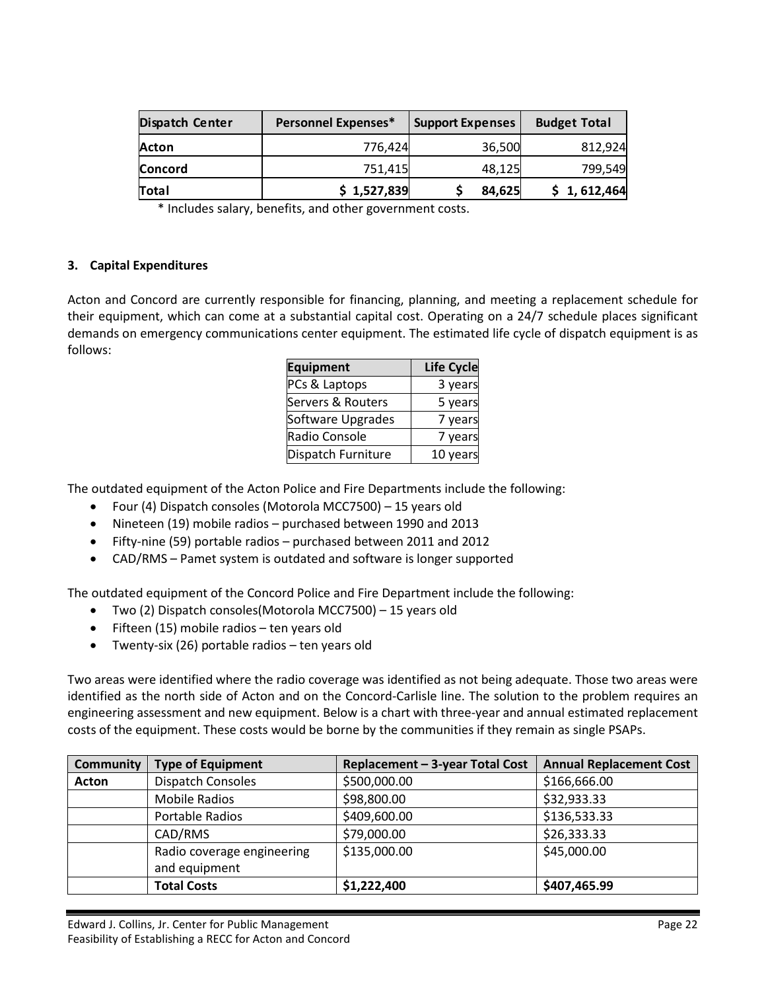| <b>Dispatch Center</b> | <b>Personnel Expenses*</b> | <b>Support Expenses</b> | <b>Budget Total</b> |
|------------------------|----------------------------|-------------------------|---------------------|
| Acton                  | 776,424                    | 36,500                  | 812,924             |
| Concord                | 751,415                    | 48,125                  | 799,549             |
| Total                  | \$1,527,839                | 84,625                  | \$1,612,464         |

\* Includes salary, benefits, and other government costs.

#### **3. Capital Expenditures**

Acton and Concord are currently responsible for financing, planning, and meeting a replacement schedule for their equipment, which can come at a substantial capital cost. Operating on a 24/7 schedule places significant demands on emergency communications center equipment. The estimated life cycle of dispatch equipment is as follows:

| <b>Equipment</b>   | <b>Life Cycle</b> |
|--------------------|-------------------|
| PCs & Laptops      | 3 years           |
| Servers & Routers  | 5 years           |
| Software Upgrades  | 7 years           |
| Radio Console      | 7 years           |
| Dispatch Furniture | 10 years          |

The outdated equipment of the Acton Police and Fire Departments include the following:

- Four (4) Dispatch consoles (Motorola MCC7500) 15 years old
- Nineteen (19) mobile radios purchased between 1990 and 2013
- Fifty-nine (59) portable radios purchased between 2011 and 2012
- CAD/RMS Pamet system is outdated and software is longer supported

The outdated equipment of the Concord Police and Fire Department include the following:

- Two (2) Dispatch consoles(Motorola MCC7500) 15 years old
- Fifteen (15) mobile radios ten years old
- Twenty-six (26) portable radios ten years old

Two areas were identified where the radio coverage was identified as not being adequate. Those two areas were identified as the north side of Acton and on the Concord-Carlisle line. The solution to the problem requires an engineering assessment and new equipment. Below is a chart with three-year and annual estimated replacement costs of the equipment. These costs would be borne by the communities if they remain as single PSAPs.

| <b>Community</b> | <b>Type of Equipment</b>                    | Replacement - 3-year Total Cost | <b>Annual Replacement Cost</b> |
|------------------|---------------------------------------------|---------------------------------|--------------------------------|
| Acton            | <b>Dispatch Consoles</b>                    | \$500,000.00                    | \$166,666.00                   |
|                  | <b>Mobile Radios</b>                        | \$98,800.00                     | \$32,933.33                    |
|                  | Portable Radios                             | \$409,600.00                    | \$136,533.33                   |
|                  | CAD/RMS                                     | \$79,000.00                     | \$26,333.33                    |
|                  | Radio coverage engineering<br>and equipment | \$135,000.00                    | \$45,000.00                    |
|                  | <b>Total Costs</b>                          | \$1,222,400                     | \$407,465.99                   |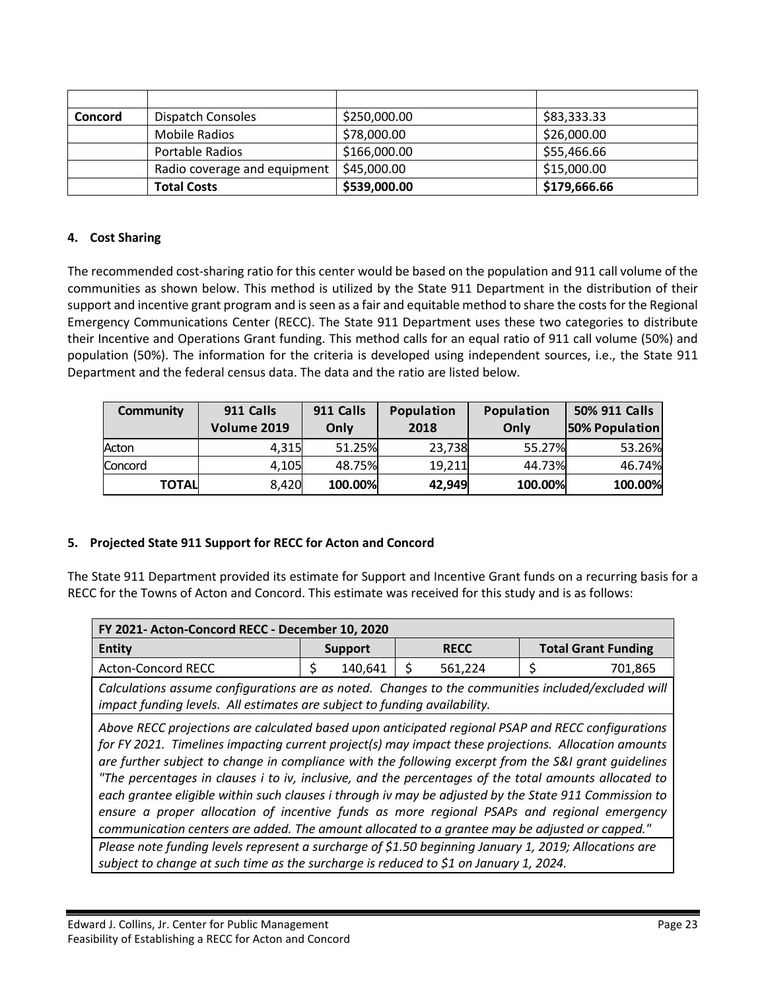| <b>Concord</b> | Dispatch Consoles            | \$250,000.00 | \$83,333.33  |
|----------------|------------------------------|--------------|--------------|
|                | Mobile Radios                | \$78,000.00  | \$26,000.00  |
|                | Portable Radios              | \$166,000.00 | \$55,466.66  |
|                | Radio coverage and equipment | \$45,000.00  | \$15,000.00  |
|                | <b>Total Costs</b>           | \$539,000.00 | \$179,666.66 |

#### **4. Cost Sharing**

The recommended cost-sharing ratio for this center would be based on the population and 911 call volume of the communities as shown below. This method is utilized by the State 911 Department in the distribution of their support and incentive grant program and is seen as a fair and equitable method to share the costs for the Regional Emergency Communications Center (RECC). The State 911 Department uses these two categories to distribute their Incentive and Operations Grant funding. This method calls for an equal ratio of 911 call volume (50%) and population (50%). The information for the criteria is developed using independent sources, i.e., the State 911 Department and the federal census data. The data and the ratio are listed below.

| <b>Community</b> | 911 Calls<br>Volume 2019 | 911 Calls<br>Only | Population<br>2018 | Population<br>Only | 50% 911 Calls<br><b>50% Population</b> |
|------------------|--------------------------|-------------------|--------------------|--------------------|----------------------------------------|
| Acton            | 4,315                    | 51.25%            | 23,738             | 55.27%             | 53.26%                                 |
| Concord          | 4,105                    | 48.75%            | 19,211             | 44.73%             | 46.74%                                 |
| <b>TOTAL</b>     | 8,420                    | 100.00%           | 42,949             | 100.00%            | 100.00%                                |

#### **5. Projected State 911 Support for RECC for Acton and Concord**

The State 911 Department provided its estimate for Support and Incentive Grant funds on a recurring basis for a RECC for the Towns of Acton and Concord. This estimate was received for this study and is as follows:

| FY 2021- Acton-Concord RECC - December 10, 2020                                                                                                                                                                                                                                                                                                                                                                                                                                                                                                                                                                                                                                                                                                                                                                                                                                                                                         |                |             |                            |
|-----------------------------------------------------------------------------------------------------------------------------------------------------------------------------------------------------------------------------------------------------------------------------------------------------------------------------------------------------------------------------------------------------------------------------------------------------------------------------------------------------------------------------------------------------------------------------------------------------------------------------------------------------------------------------------------------------------------------------------------------------------------------------------------------------------------------------------------------------------------------------------------------------------------------------------------|----------------|-------------|----------------------------|
| <b>Entity</b>                                                                                                                                                                                                                                                                                                                                                                                                                                                                                                                                                                                                                                                                                                                                                                                                                                                                                                                           | <b>Support</b> | <b>RECC</b> | <b>Total Grant Funding</b> |
| <b>Acton-Concord RECC</b>                                                                                                                                                                                                                                                                                                                                                                                                                                                                                                                                                                                                                                                                                                                                                                                                                                                                                                               | 140,641<br>\$  | 561,224     | 701,865                    |
| Calculations assume configurations are as noted. Changes to the communities included/excluded will<br>impact funding levels. All estimates are subject to funding availability.                                                                                                                                                                                                                                                                                                                                                                                                                                                                                                                                                                                                                                                                                                                                                         |                |             |                            |
| Above RECC projections are calculated based upon anticipated regional PSAP and RECC configurations<br>for FY 2021. Timelines impacting current project(s) may impact these projections. Allocation amounts<br>are further subject to change in compliance with the following excerpt from the S&I grant quidelines<br>"The percentages in clauses i to iv, inclusive, and the percentages of the total amounts allocated to<br>each grantee eligible within such clauses i through iv may be adjusted by the State 911 Commission to<br>ensure a proper allocation of incentive funds as more regional PSAPs and regional emergency<br>communication centers are added. The amount allocated to a grantee may be adjusted or capped."<br>Please note funding levels represent a surcharge of \$1.50 beginning January 1, 2019; Allocations are<br>subject to change at such time as the surcharge is reduced to \$1 on January 1, 2024. |                |             |                            |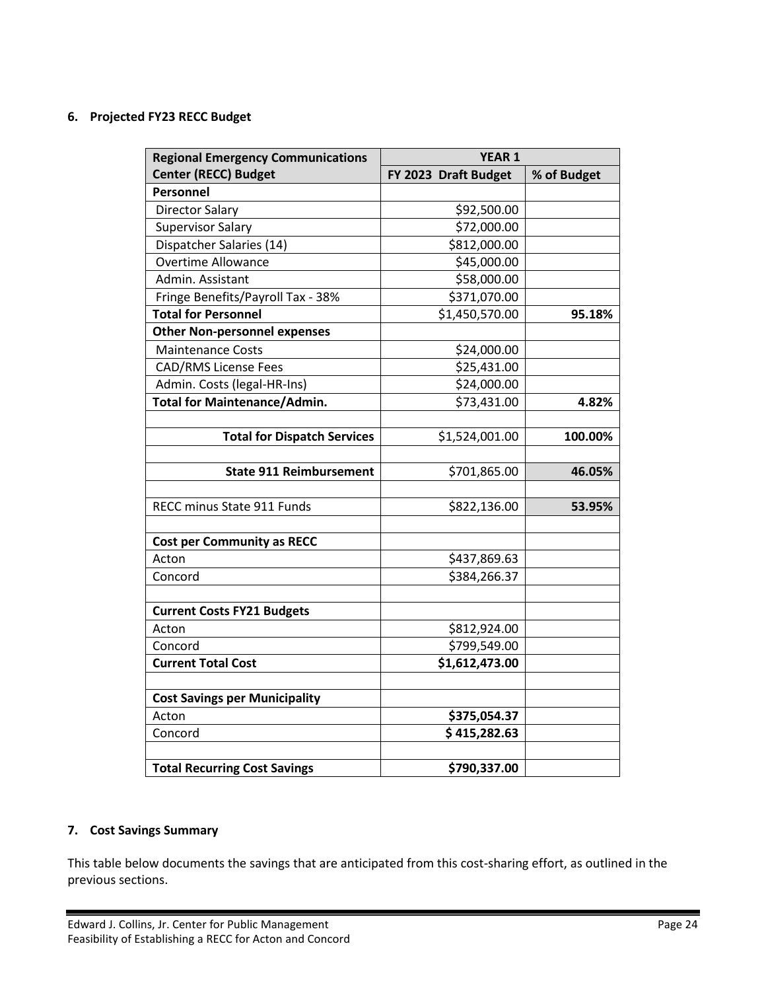#### **6. Projected FY23 RECC Budget**

| <b>Regional Emergency Communications</b> | <b>YEAR 1</b>        |             |  |
|------------------------------------------|----------------------|-------------|--|
| <b>Center (RECC) Budget</b>              | FY 2023 Draft Budget | % of Budget |  |
| Personnel                                |                      |             |  |
| <b>Director Salary</b>                   | \$92,500.00          |             |  |
| <b>Supervisor Salary</b>                 | \$72,000.00          |             |  |
| Dispatcher Salaries (14)                 | \$812,000.00         |             |  |
| <b>Overtime Allowance</b>                | \$45,000.00          |             |  |
| Admin. Assistant                         | \$58,000.00          |             |  |
| Fringe Benefits/Payroll Tax - 38%        | \$371,070.00         |             |  |
| <b>Total for Personnel</b>               | \$1,450,570.00       | 95.18%      |  |
| <b>Other Non-personnel expenses</b>      |                      |             |  |
| <b>Maintenance Costs</b>                 | \$24,000.00          |             |  |
| <b>CAD/RMS License Fees</b>              | \$25,431.00          |             |  |
| Admin. Costs (legal-HR-Ins)              | \$24,000.00          |             |  |
| <b>Total for Maintenance/Admin.</b>      | \$73,431.00          | 4.82%       |  |
|                                          |                      |             |  |
| <b>Total for Dispatch Services</b>       | \$1,524,001.00       | 100.00%     |  |
|                                          |                      |             |  |
| <b>State 911 Reimbursement</b>           | \$701,865.00         | 46.05%      |  |
|                                          |                      |             |  |
| RECC minus State 911 Funds               | \$822,136.00         | 53.95%      |  |
|                                          |                      |             |  |
| <b>Cost per Community as RECC</b>        |                      |             |  |
| Acton                                    | \$437,869.63         |             |  |
| Concord                                  | \$384,266.37         |             |  |
|                                          |                      |             |  |
| <b>Current Costs FY21 Budgets</b>        |                      |             |  |
| Acton                                    | \$812,924.00         |             |  |
| Concord                                  | \$799,549.00         |             |  |
| <b>Current Total Cost</b>                | \$1,612,473.00       |             |  |
|                                          |                      |             |  |
| <b>Cost Savings per Municipality</b>     |                      |             |  |
| Acton                                    | \$375,054.37         |             |  |
| Concord                                  | \$415,282.63         |             |  |
|                                          |                      |             |  |
| <b>Total Recurring Cost Savings</b>      | \$790,337.00         |             |  |

#### **7. Cost Savings Summary**

This table below documents the savings that are anticipated from this cost-sharing effort, as outlined in the previous sections.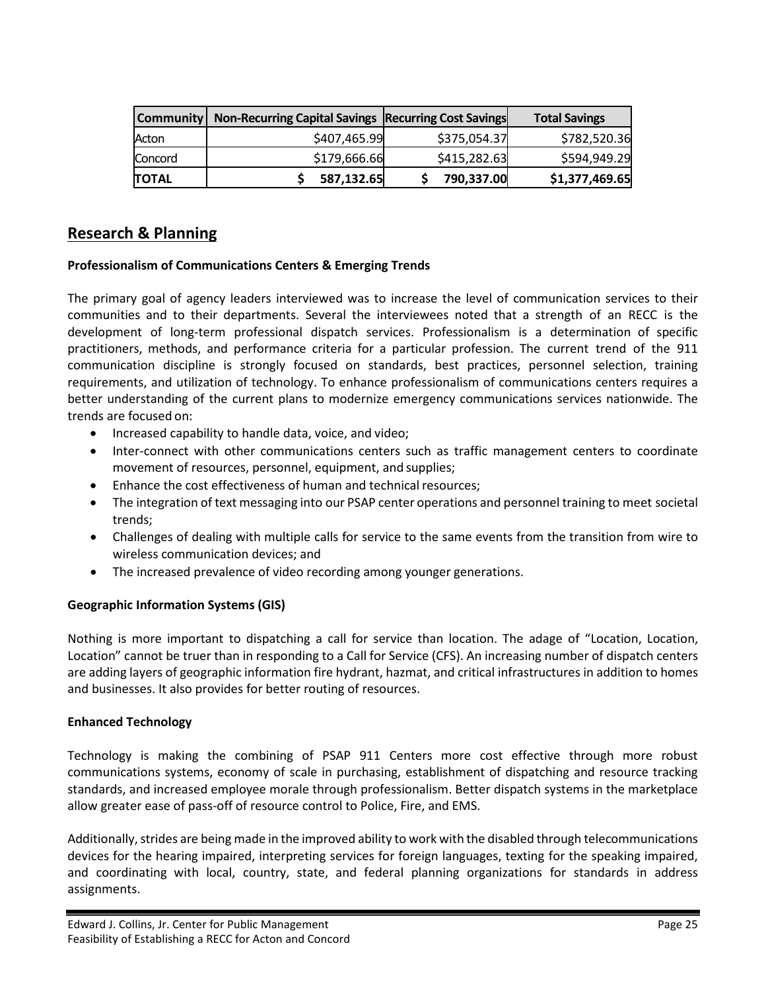|              | Community   Non-Recurring Capital Savings   Recurring Cost Savings |              | <b>Total Savings</b> |
|--------------|--------------------------------------------------------------------|--------------|----------------------|
| Acton        | \$407,465.99                                                       | \$375,054.37 | \$782,520.36         |
| Concord      | \$179,666.66                                                       | \$415,282.63 | \$594,949.29         |
| <b>TOTAL</b> | 587,132.65                                                         | 790,337.00   | \$1,377,469.65       |

## <span id="page-25-0"></span>**Research & Planning**

#### **Professionalism of Communications Centers & Emerging Trends**

The primary goal of agency leaders interviewed was to increase the level of communication services to their communities and to their departments. Several the interviewees noted that a strength of an RECC is the development of long-term professional dispatch services. Professionalism is a determination of specific practitioners, methods, and performance criteria for a particular profession. The current trend of the 911 communication discipline is strongly focused on standards, best practices, personnel selection, training requirements, and utilization of technology. To enhance professionalism of communications centers requires a better understanding of the current plans to modernize emergency communications services nationwide. The trends are focused on:

- Increased capability to handle data, voice, and video;
- Inter-connect with other communications centers such as traffic management centers to coordinate movement of resources, personnel, equipment, and supplies;
- Enhance the cost effectiveness of human and technical resources;
- The integration of text messaging into our PSAP center operations and personnel training to meet societal trends;
- Challenges of dealing with multiple calls for service to the same events from the transition from wire to wireless communication devices; and
- The increased prevalence of video recording among younger generations.

#### **Geographic Information Systems (GIS)**

Nothing is more important to dispatching a call for service than location. The adage of "Location, Location, Location" cannot be truer than in responding to a Call for Service (CFS). An increasing number of dispatch centers are adding layers of geographic information fire hydrant, hazmat, and critical infrastructures in addition to homes and businesses. It also provides for better routing of resources.

#### **Enhanced Technology**

Technology is making the combining of PSAP 911 Centers more cost effective through more robust communications systems, economy of scale in purchasing, establishment of dispatching and resource tracking standards, and increased employee morale through professionalism. Better dispatch systems in the marketplace allow greater ease of pass-off of resource control to Police, Fire, and EMS.

Additionally, strides are being made in the improved ability to work with the disabled through telecommunications devices for the hearing impaired, interpreting services for foreign languages, texting for the speaking impaired, and coordinating with local, country, state, and federal planning organizations for standards in address assignments.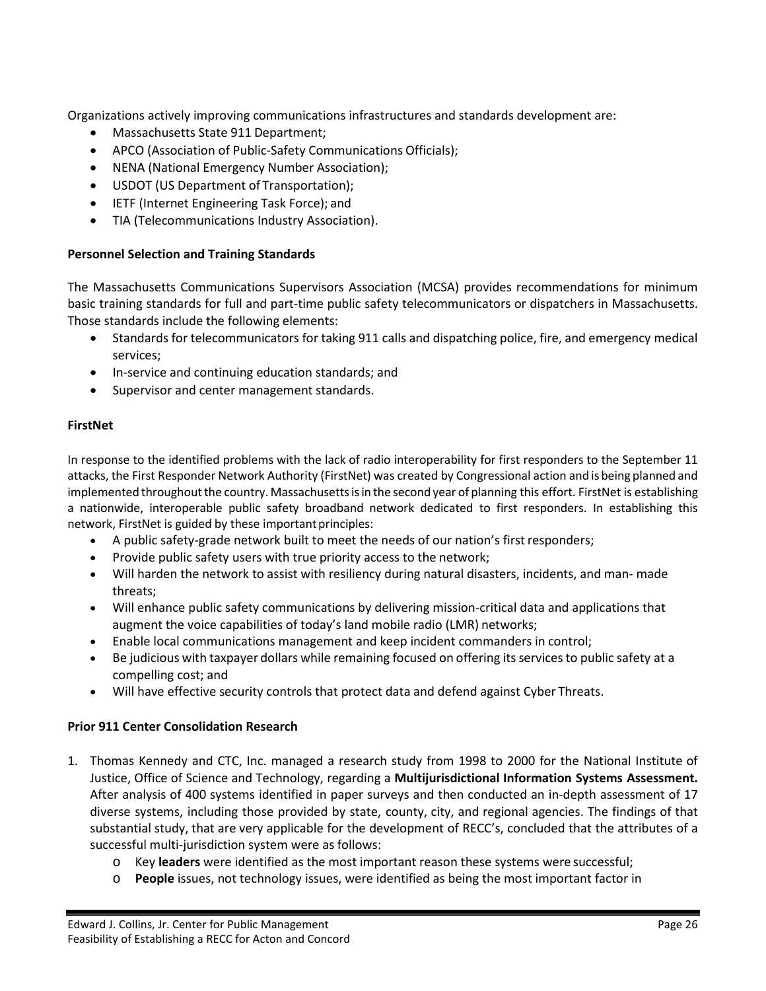Organizations actively improving communications infrastructures and standards development are:

- Massachusetts State 911 Department;
- APCO (Association of Public-Safety Communications Officials);
- NENA (National Emergency Number Association);
- USDOT (US Department of Transportation);
- IETF (Internet Engineering Task Force); and
- TIA (Telecommunications Industry Association).

#### **Personnel Selection and Training Standards**

The Massachusetts Communications Supervisors Association (MCSA) provides recommendations for minimum basic training standards for full and part-time public safety telecommunicators or dispatchers in Massachusetts. Those standards include the following elements:

- Standards for telecommunicators for taking 911 calls and dispatching police, fire, and emergency medical services;
- In-service and continuing education standards; and
- Supervisor and center management standards.

#### **FirstNet**

In response to the identified problems with the lack of radio interoperability for first responders to the September 11 attacks, the First Responder Network Authority (FirstNet) was created by Congressional action and is being planned and implemented throughout the country. Massachusetts is in the second year of planning this effort. FirstNet is establishing a nationwide, interoperable public safety broadband network dedicated to first responders. In establishing this network, FirstNet is guided by these important principles:

- A public safety-grade network built to meet the needs of our nation's first responders;
- Provide public safety users with true priority access to the network;
- Will harden the network to assist with resiliency during natural disasters, incidents, and man- made threats;
- Will enhance public safety communications by delivering mission-critical data and applications that augment the voice capabilities of today's land mobile radio (LMR) networks;
- Enable local communications management and keep incident commanders in control;
- Be judicious with taxpayer dollars while remaining focused on offering itsservicesto public safety at a compelling cost; and
- Will have effective security controls that protect data and defend against Cyber Threats.

#### **Prior 911 Center Consolidation Research**

- 1. Thomas Kennedy and CTC, Inc. managed a research study from 1998 to 2000 for the National Institute of Justice, Office of Science and Technology, regarding a **Multijurisdictional Information Systems Assessment.**  After analysis of 400 systems identified in paper surveys and then conducted an in-depth assessment of 17 diverse systems, including those provided by state, county, city, and regional agencies. The findings of that substantial study, that are very applicable for the development of RECC's, concluded that the attributes of a successful multi-jurisdiction system were as follows:
	- o Key **leaders** were identified as the most important reason these systems were successful;
	- o **People** issues, not technology issues, were identified as being the most important factor in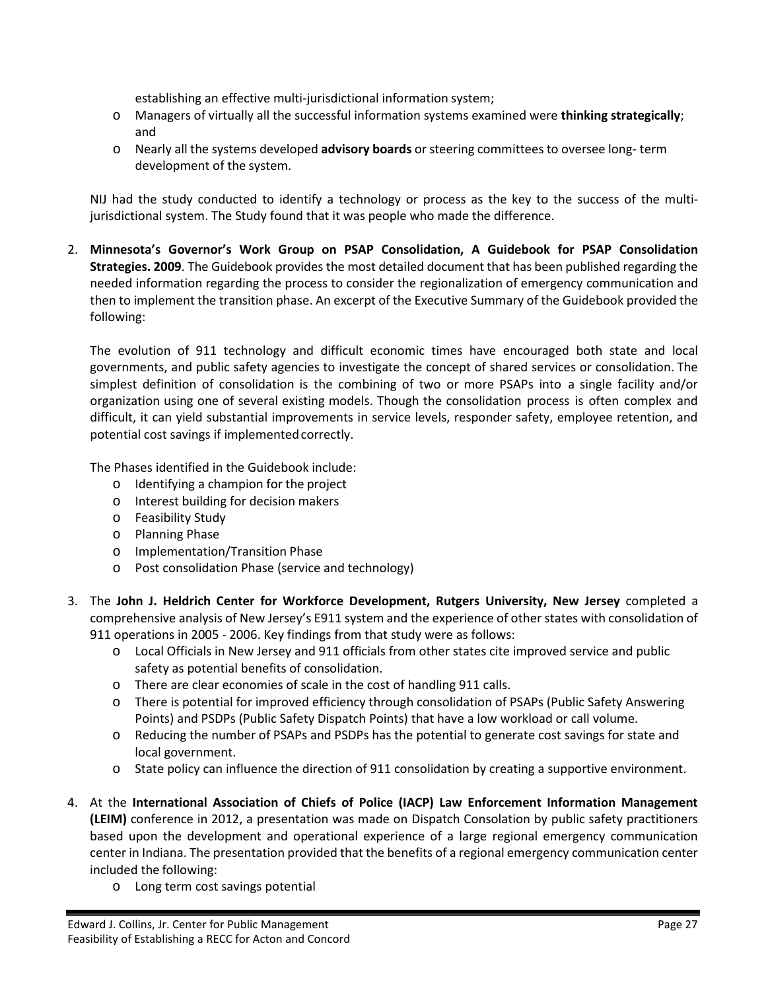establishing an effective multi-jurisdictional information system;

- o Managers of virtually all the successful information systems examined were **thinking strategically**; and
- o Nearly all the systems developed **advisory boards** orsteering committees to oversee long- term development of the system.

NIJ had the study conducted to identify a technology or process as the key to the success of the multijurisdictional system. The Study found that it was people who made the difference.

2. **Minnesota's Governor's Work Group on PSAP Consolidation, A Guidebook for PSAP Consolidation Strategies. 2009**. The Guidebook provides the most detailed document that has been published regarding the needed information regarding the process to consider the regionalization of emergency communication and then to implement the transition phase. An excerpt of the Executive Summary of the Guidebook provided the following:

The evolution of 911 technology and difficult economic times have encouraged both state and local governments, and public safety agencies to investigate the concept of shared services or consolidation. The simplest definition of consolidation is the combining of two or more PSAPs into a single facility and/or organization using one of several existing models. Though the consolidation process is often complex and difficult, it can yield substantial improvements in service levels, responder safety, employee retention, and potential cost savings if implemented correctly.

The Phases identified in the Guidebook include:

- o Identifying a champion for the project
- o Interest building for decision makers
- o Feasibility Study
- o Planning Phase
- o Implementation/Transition Phase
- o Post consolidation Phase (service and technology)
- 3. The **John J. Heldrich Center for Workforce Development, Rutgers University, New Jersey** completed a comprehensive analysis of New Jersey's E911 system and the experience of other states with consolidation of 911 operations in 2005 - 2006. Key findings from that study were as follows:
	- o Local Officials in New Jersey and 911 officials from other states cite improved service and public safety as potential benefits of consolidation.
	- o There are clear economies of scale in the cost of handling 911 calls.
	- o There is potential for improved efficiency through consolidation of PSAPs (Public Safety Answering Points) and PSDPs (Public Safety Dispatch Points) that have a low workload or call volume.
	- o Reducing the number of PSAPs and PSDPs has the potential to generate cost savings for state and local government.
	- o State policy can influence the direction of 911 consolidation by creating a supportive environment.
- 4. At the **International Association of Chiefs of Police (IACP) Law Enforcement Information Management (LEIM)** conference in 2012, a presentation was made on Dispatch Consolation by public safety practitioners based upon the development and operational experience of a large regional emergency communication center in Indiana. The presentation provided that the benefits of a regional emergency communication center included the following:
	- o Long term cost savings potential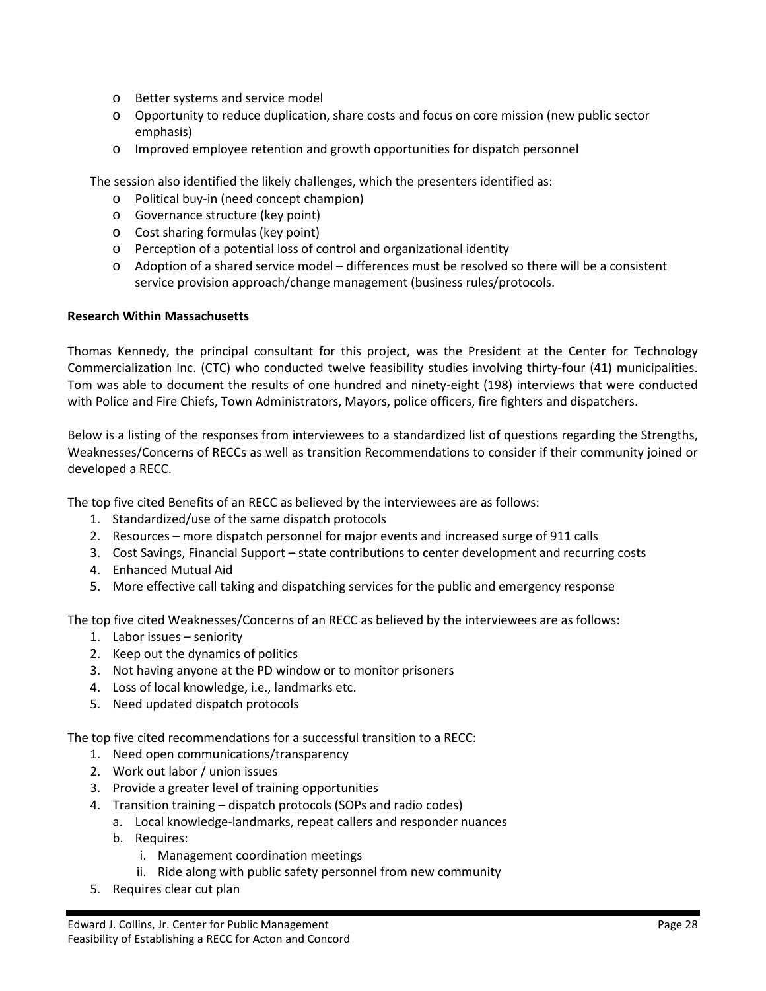- o Better systems and service model
- o Opportunity to reduce duplication, share costs and focus on core mission (new public sector emphasis)
- o Improved employee retention and growth opportunities for dispatch personnel

The session also identified the likely challenges, which the presenters identified as:

- o Political buy-in (need concept champion)
- o Governance structure (key point)
- o Cost sharing formulas (key point)
- o Perception of a potential loss of control and organizational identity
- o Adoption of a shared service model differences must be resolved so there will be a consistent service provision approach/change management (business rules/protocols.

#### **Research Within Massachusetts**

Thomas Kennedy, the principal consultant for this project, was the President at the Center for Technology Commercialization Inc. (CTC) who conducted twelve feasibility studies involving thirty-four (41) municipalities. Tom was able to document the results of one hundred and ninety-eight (198) interviews that were conducted with Police and Fire Chiefs, Town Administrators, Mayors, police officers, fire fighters and dispatchers.

Below is a listing of the responses from interviewees to a standardized list of questions regarding the Strengths, Weaknesses/Concerns of RECCs as well as transition Recommendations to consider if their community joined or developed a RECC.

The top five cited Benefits of an RECC as believed by the interviewees are as follows:

- 1. Standardized/use of the same dispatch protocols
- 2. Resources more dispatch personnel for major events and increased surge of 911 calls
- 3. Cost Savings, Financial Support state contributions to center development and recurring costs
- 4. Enhanced Mutual Aid
- 5. More effective call taking and dispatching services for the public and emergency response

The top five cited Weaknesses/Concerns of an RECC as believed by the interviewees are as follows:

- 1. Labor issues seniority
- 2. Keep out the dynamics of politics
- 3. Not having anyone at the PD window or to monitor prisoners
- 4. Loss of local knowledge, i.e., landmarks etc.
- 5. Need updated dispatch protocols

The top five cited recommendations for a successful transition to a RECC:

- 1. Need open communications/transparency
- 2. Work out labor / union issues
- 3. Provide a greater level of training opportunities
- 4. Transition training dispatch protocols (SOPs and radio codes)
	- a. Local knowledge-landmarks, repeat callers and responder nuances
	- b. Requires:
		- i. Management coordination meetings
		- ii. Ride along with public safety personnel from new community
- 5. Requires clear cut plan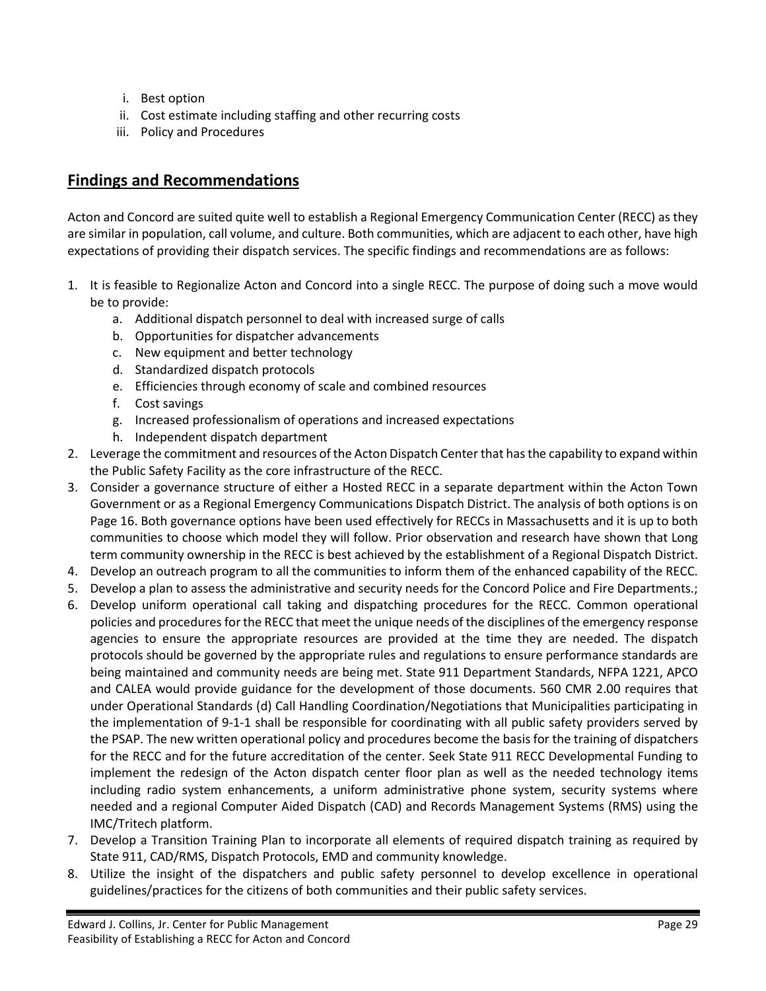- i. Best option
- ii. Cost estimate including staffing and other recurring costs
- iii. Policy and Procedures

## <span id="page-29-0"></span>**Findings and Recommendations**

Acton and Concord are suited quite well to establish a Regional Emergency Communication Center (RECC) as they are similar in population, call volume, and culture. Both communities, which are adjacent to each other, have high expectations of providing their dispatch services. The specific findings and recommendations are as follows:

- 1. It is feasible to Regionalize Acton and Concord into a single RECC. The purpose of doing such a move would be to provide:
	- a. Additional dispatch personnel to deal with increased surge of calls
	- b. Opportunities for dispatcher advancements
	- c. New equipment and better technology
	- d. Standardized dispatch protocols
	- e. Efficiencies through economy of scale and combined resources
	- f. Cost savings
	- g. Increased professionalism of operations and increased expectations
	- h. Independent dispatch department
- 2. Leverage the commitment and resources of the Acton Dispatch Center that has the capability to expand within the Public Safety Facility as the core infrastructure of the RECC.
- 3. Consider a governance structure of either a Hosted RECC in a separate department within the Acton Town Government or as a Regional Emergency Communications Dispatch District. The analysis of both options is on Page 16. Both governance options have been used effectively for RECCs in Massachusetts and it is up to both communities to choose which model they will follow. Prior observation and research have shown that Long term community ownership in the RECC is best achieved by the establishment of a Regional Dispatch District.
- 4. Develop an outreach program to all the communities to inform them of the enhanced capability of the RECC.
- 5. Develop a plan to assess the administrative and security needs for the Concord Police and Fire Departments.;
- 6. Develop uniform operational call taking and dispatching procedures for the RECC. Common operational policies and procedures for the RECC that meet the unique needs of the disciplines of the emergency response agencies to ensure the appropriate resources are provided at the time they are needed. The dispatch protocols should be governed by the appropriate rules and regulations to ensure performance standards are being maintained and community needs are being met. State 911 Department Standards, NFPA 1221, APCO and CALEA would provide guidance for the development of those documents. 560 CMR 2.00 requires that under Operational Standards (d) Call Handling Coordination/Negotiations that Municipalities participating in the implementation of 9-1-1 shall be responsible for coordinating with all public safety providers served by the PSAP. The new written operational policy and procedures become the basis for the training of dispatchers for the RECC and for the future accreditation of the center. Seek State 911 RECC Developmental Funding to implement the redesign of the Acton dispatch center floor plan as well as the needed technology items including radio system enhancements, a uniform administrative phone system, security systems where needed and a regional Computer Aided Dispatch (CAD) and Records Management Systems (RMS) using the IMC/Tritech platform.
- 7. Develop a Transition Training Plan to incorporate all elements of required dispatch training as required by State 911, CAD/RMS, Dispatch Protocols, EMD and community knowledge.
- 8. Utilize the insight of the dispatchers and public safety personnel to develop excellence in operational guidelines/practices for the citizens of both communities and their public safety services.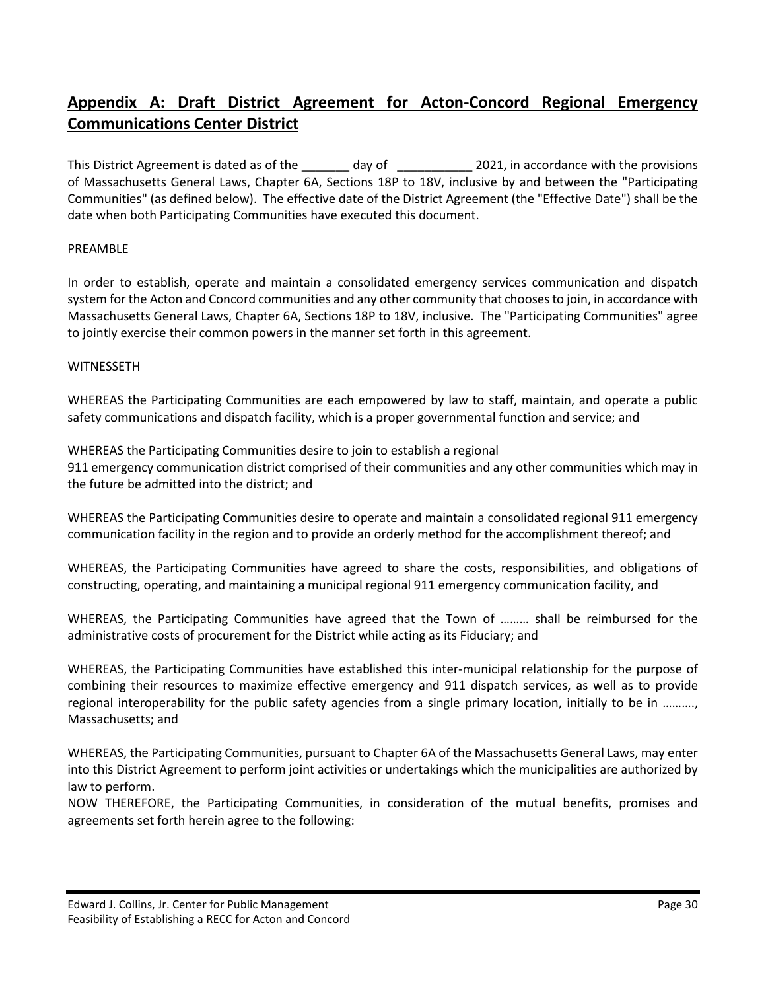## <span id="page-30-0"></span>**Appendix A: Draft District Agreement for Acton-Concord Regional Emergency Communications Center District**

This District Agreement is dated as of the \_\_\_\_\_\_\_ day of \_\_\_\_\_\_\_\_\_\_\_\_ 2021, in accordance with the provisions of Massachusetts General Laws, Chapter 6A, Sections 18P to 18V, inclusive by and between the "Participating Communities" (as defined below). The effective date of the District Agreement (the "Effective Date") shall be the date when both Participating Communities have executed this document.

#### PREAMBLE

In order to establish, operate and maintain a consolidated emergency services communication and dispatch system for the Acton and Concord communities and any other community that chooses to join, in accordance with Massachusetts General Laws, Chapter 6A, Sections 18P to 18V, inclusive. The "Participating Communities" agree to jointly exercise their common powers in the manner set forth in this agreement.

#### WITNESSETH

WHEREAS the Participating Communities are each empowered by law to staff, maintain, and operate a public safety communications and dispatch facility, which is a proper governmental function and service; and

WHEREAS the Participating Communities desire to join to establish a regional 911 emergency communication district comprised of their communities and any other communities which may in the future be admitted into the district; and

WHEREAS the Participating Communities desire to operate and maintain a consolidated regional 911 emergency communication facility in the region and to provide an orderly method for the accomplishment thereof; and

WHEREAS, the Participating Communities have agreed to share the costs, responsibilities, and obligations of constructing, operating, and maintaining a municipal regional 911 emergency communication facility, and

WHEREAS, the Participating Communities have agreed that the Town of ……… shall be reimbursed for the administrative costs of procurement for the District while acting as its Fiduciary; and

WHEREAS, the Participating Communities have established this inter-municipal relationship for the purpose of combining their resources to maximize effective emergency and 911 dispatch services, as well as to provide regional interoperability for the public safety agencies from a single primary location, initially to be in ………., Massachusetts; and

WHEREAS, the Participating Communities, pursuant to Chapter 6A of the Massachusetts General Laws, may enter into this District Agreement to perform joint activities or undertakings which the municipalities are authorized by law to perform.

NOW THEREFORE, the Participating Communities, in consideration of the mutual benefits, promises and agreements set forth herein agree to the following: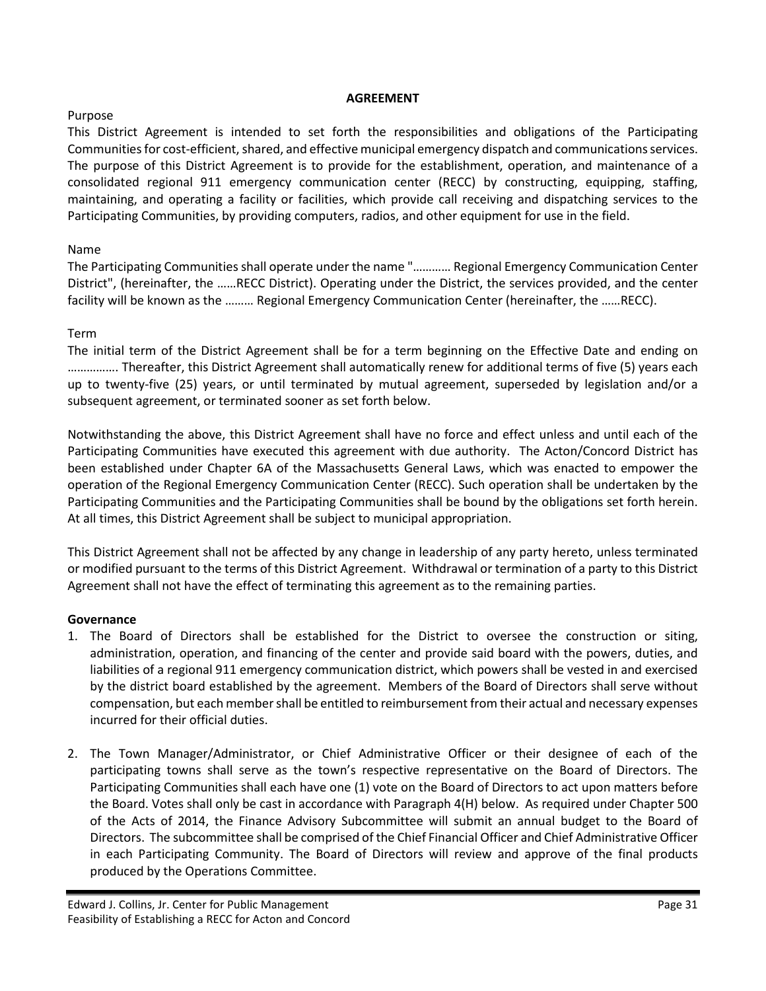#### Purpose

#### **AGREEMENT**

This District Agreement is intended to set forth the responsibilities and obligations of the Participating Communities for cost-efficient, shared, and effective municipal emergency dispatch and communications services. The purpose of this District Agreement is to provide for the establishment, operation, and maintenance of a consolidated regional 911 emergency communication center (RECC) by constructing, equipping, staffing, maintaining, and operating a facility or facilities, which provide call receiving and dispatching services to the Participating Communities, by providing computers, radios, and other equipment for use in the field.

#### Name

The Participating Communities shall operate under the name "………… Regional Emergency Communication Center District", (hereinafter, the ……RECC District). Operating under the District, the services provided, and the center facility will be known as the ……… Regional Emergency Communication Center (hereinafter, the ……RECC).

#### Term

The initial term of the District Agreement shall be for a term beginning on the Effective Date and ending on ……………. Thereafter, this District Agreement shall automatically renew for additional terms of five (5) years each up to twenty-five (25) years, or until terminated by mutual agreement, superseded by legislation and/or a subsequent agreement, or terminated sooner as set forth below.

Notwithstanding the above, this District Agreement shall have no force and effect unless and until each of the Participating Communities have executed this agreement with due authority. The Acton/Concord District has been established under Chapter 6A of the Massachusetts General Laws, which was enacted to empower the operation of the Regional Emergency Communication Center (RECC). Such operation shall be undertaken by the Participating Communities and the Participating Communities shall be bound by the obligations set forth herein. At all times, this District Agreement shall be subject to municipal appropriation.

This District Agreement shall not be affected by any change in leadership of any party hereto, unless terminated or modified pursuant to the terms of this District Agreement. Withdrawal or termination of a party to this District Agreement shall not have the effect of terminating this agreement as to the remaining parties.

#### **Governance**

- 1. The Board of Directors shall be established for the District to oversee the construction or siting, administration, operation, and financing of the center and provide said board with the powers, duties, and liabilities of a regional 911 emergency communication district, which powers shall be vested in and exercised by the district board established by the agreement. Members of the Board of Directors shall serve without compensation, but each member shall be entitled to reimbursement from their actual and necessary expenses incurred for their official duties.
- 2. The Town Manager/Administrator, or Chief Administrative Officer or their designee of each of the participating towns shall serve as the town's respective representative on the Board of Directors. The Participating Communities shall each have one (1) vote on the Board of Directors to act upon matters before the Board. Votes shall only be cast in accordance with Paragraph 4(H) below. As required under Chapter 500 of the Acts of 2014, the Finance Advisory Subcommittee will submit an annual budget to the Board of Directors. The subcommittee shall be comprised of the Chief Financial Officer and Chief Administrative Officer in each Participating Community. The Board of Directors will review and approve of the final products produced by the Operations Committee.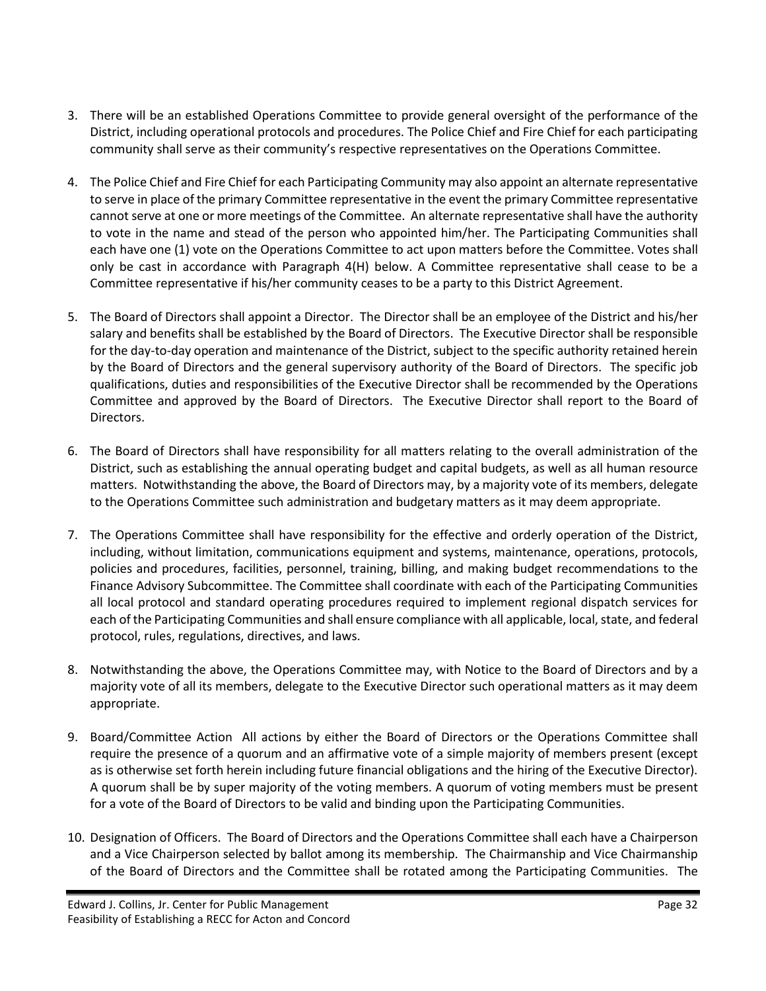- 3. There will be an established Operations Committee to provide general oversight of the performance of the District, including operational protocols and procedures. The Police Chief and Fire Chief for each participating community shall serve as their community's respective representatives on the Operations Committee.
- 4. The Police Chief and Fire Chief for each Participating Community may also appoint an alternate representative to serve in place of the primary Committee representative in the event the primary Committee representative cannot serve at one or more meetings of the Committee. An alternate representative shall have the authority to vote in the name and stead of the person who appointed him/her. The Participating Communities shall each have one (1) vote on the Operations Committee to act upon matters before the Committee. Votes shall only be cast in accordance with Paragraph 4(H) below. A Committee representative shall cease to be a Committee representative if his/her community ceases to be a party to this District Agreement.
- 5. The Board of Directors shall appoint a Director. The Director shall be an employee of the District and his/her salary and benefits shall be established by the Board of Directors. The Executive Director shall be responsible for the day-to-day operation and maintenance of the District, subject to the specific authority retained herein by the Board of Directors and the general supervisory authority of the Board of Directors. The specific job qualifications, duties and responsibilities of the Executive Director shall be recommended by the Operations Committee and approved by the Board of Directors. The Executive Director shall report to the Board of Directors.
- 6. The Board of Directors shall have responsibility for all matters relating to the overall administration of the District, such as establishing the annual operating budget and capital budgets, as well as all human resource matters. Notwithstanding the above, the Board of Directors may, by a majority vote of its members, delegate to the Operations Committee such administration and budgetary matters as it may deem appropriate.
- 7. The Operations Committee shall have responsibility for the effective and orderly operation of the District, including, without limitation, communications equipment and systems, maintenance, operations, protocols, policies and procedures, facilities, personnel, training, billing, and making budget recommendations to the Finance Advisory Subcommittee. The Committee shall coordinate with each of the Participating Communities all local protocol and standard operating procedures required to implement regional dispatch services for each of the Participating Communities and shall ensure compliance with all applicable, local, state, and federal protocol, rules, regulations, directives, and laws.
- 8. Notwithstanding the above, the Operations Committee may, with Notice to the Board of Directors and by a majority vote of all its members, delegate to the Executive Director such operational matters as it may deem appropriate.
- 9. Board/Committee Action All actions by either the Board of Directors or the Operations Committee shall require the presence of a quorum and an affirmative vote of a simple majority of members present (except as is otherwise set forth herein including future financial obligations and the hiring of the Executive Director). A quorum shall be by super majority of the voting members. A quorum of voting members must be present for a vote of the Board of Directors to be valid and binding upon the Participating Communities.
- 10. Designation of Officers. The Board of Directors and the Operations Committee shall each have a Chairperson and a Vice Chairperson selected by ballot among its membership. The Chairmanship and Vice Chairmanship of the Board of Directors and the Committee shall be rotated among the Participating Communities. The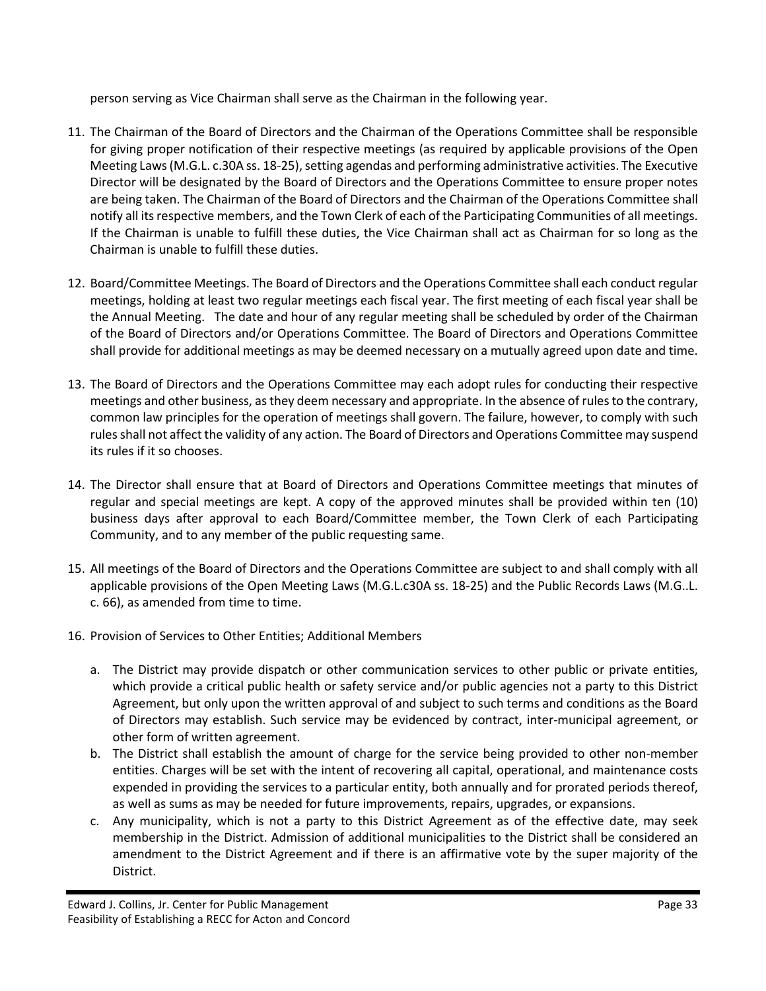person serving as Vice Chairman shall serve as the Chairman in the following year.

- 11. The Chairman of the Board of Directors and the Chairman of the Operations Committee shall be responsible for giving proper notification of their respective meetings (as required by applicable provisions of the Open Meeting Laws (M.G.L. c.30A ss. 18-25), setting agendas and performing administrative activities. The Executive Director will be designated by the Board of Directors and the Operations Committee to ensure proper notes are being taken. The Chairman of the Board of Directors and the Chairman of the Operations Committee shall notify all its respective members, and the Town Clerk of each of the Participating Communities of all meetings. If the Chairman is unable to fulfill these duties, the Vice Chairman shall act as Chairman for so long as the Chairman is unable to fulfill these duties.
- 12. Board/Committee Meetings. The Board of Directors and the Operations Committee shall each conduct regular meetings, holding at least two regular meetings each fiscal year. The first meeting of each fiscal year shall be the Annual Meeting. The date and hour of any regular meeting shall be scheduled by order of the Chairman of the Board of Directors and/or Operations Committee. The Board of Directors and Operations Committee shall provide for additional meetings as may be deemed necessary on a mutually agreed upon date and time.
- 13. The Board of Directors and the Operations Committee may each adopt rules for conducting their respective meetings and other business, as they deem necessary and appropriate. In the absence of rules to the contrary, common law principles for the operation of meetings shall govern. The failure, however, to comply with such rules shall not affect the validity of any action. The Board of Directors and Operations Committee may suspend its rules if it so chooses.
- 14. The Director shall ensure that at Board of Directors and Operations Committee meetings that minutes of regular and special meetings are kept. A copy of the approved minutes shall be provided within ten (10) business days after approval to each Board/Committee member, the Town Clerk of each Participating Community, and to any member of the public requesting same.
- 15. All meetings of the Board of Directors and the Operations Committee are subject to and shall comply with all applicable provisions of the Open Meeting Laws (M.G.L.c30A ss. 18-25) and the Public Records Laws (M.G..L. c. 66), as amended from time to time.
- 16. Provision of Services to Other Entities; Additional Members
	- a. The District may provide dispatch or other communication services to other public or private entities, which provide a critical public health or safety service and/or public agencies not a party to this District Agreement, but only upon the written approval of and subject to such terms and conditions as the Board of Directors may establish. Such service may be evidenced by contract, inter-municipal agreement, or other form of written agreement.
	- b. The District shall establish the amount of charge for the service being provided to other non-member entities. Charges will be set with the intent of recovering all capital, operational, and maintenance costs expended in providing the services to a particular entity, both annually and for prorated periods thereof, as well as sums as may be needed for future improvements, repairs, upgrades, or expansions.
	- c. Any municipality, which is not a party to this District Agreement as of the effective date, may seek membership in the District. Admission of additional municipalities to the District shall be considered an amendment to the District Agreement and if there is an affirmative vote by the super majority of the District.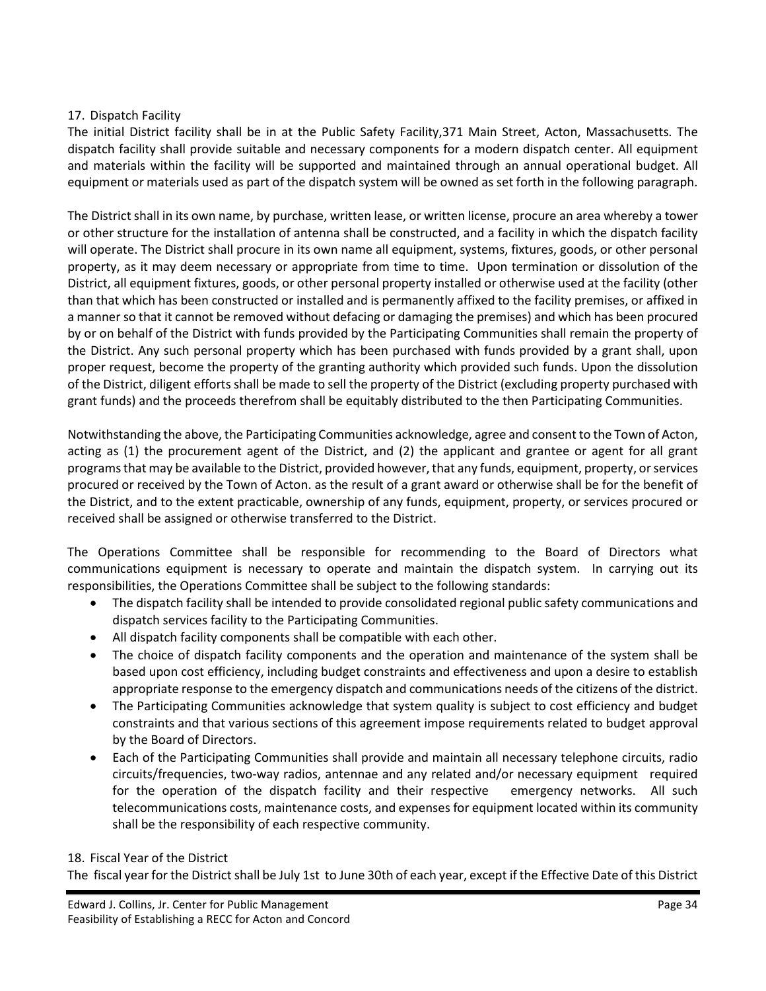#### 17. Dispatch Facility

The initial District facility shall be in at the Public Safety Facility,371 Main Street, Acton, Massachusetts. The dispatch facility shall provide suitable and necessary components for a modern dispatch center. All equipment and materials within the facility will be supported and maintained through an annual operational budget. All equipment or materials used as part of the dispatch system will be owned as set forth in the following paragraph.

The District shall in its own name, by purchase, written lease, or written license, procure an area whereby a tower or other structure for the installation of antenna shall be constructed, and a facility in which the dispatch facility will operate. The District shall procure in its own name all equipment, systems, fixtures, goods, or other personal property, as it may deem necessary or appropriate from time to time. Upon termination or dissolution of the District, all equipment fixtures, goods, or other personal property installed or otherwise used at the facility (other than that which has been constructed or installed and is permanently affixed to the facility premises, or affixed in a manner so that it cannot be removed without defacing or damaging the premises) and which has been procured by or on behalf of the District with funds provided by the Participating Communities shall remain the property of the District. Any such personal property which has been purchased with funds provided by a grant shall, upon proper request, become the property of the granting authority which provided such funds. Upon the dissolution of the District, diligent efforts shall be made to sell the property of the District (excluding property purchased with grant funds) and the proceeds therefrom shall be equitably distributed to the then Participating Communities.

Notwithstanding the above, the Participating Communities acknowledge, agree and consent to the Town of Acton, acting as (1) the procurement agent of the District, and (2) the applicant and grantee or agent for all grant programs that may be available to the District, provided however, that any funds, equipment, property, or services procured or received by the Town of Acton. as the result of a grant award or otherwise shall be for the benefit of the District, and to the extent practicable, ownership of any funds, equipment, property, or services procured or received shall be assigned or otherwise transferred to the District.

The Operations Committee shall be responsible for recommending to the Board of Directors what communications equipment is necessary to operate and maintain the dispatch system. In carrying out its responsibilities, the Operations Committee shall be subject to the following standards:

- The dispatch facility shall be intended to provide consolidated regional public safety communications and dispatch services facility to the Participating Communities.
- All dispatch facility components shall be compatible with each other.
- The choice of dispatch facility components and the operation and maintenance of the system shall be based upon cost efficiency, including budget constraints and effectiveness and upon a desire to establish appropriate response to the emergency dispatch and communications needs of the citizens of the district.
- The Participating Communities acknowledge that system quality is subject to cost efficiency and budget constraints and that various sections of this agreement impose requirements related to budget approval by the Board of Directors.
- Each of the Participating Communities shall provide and maintain all necessary telephone circuits, radio circuits/frequencies, two-way radios, antennae and any related and/or necessary equipment required for the operation of the dispatch facility and their respective emergency networks. All such telecommunications costs, maintenance costs, and expenses for equipment located within its community shall be the responsibility of each respective community.

#### 18. Fiscal Year of the District

The fiscal year for the District shall be July 1st to June 30th of each year, except if the Effective Date of this District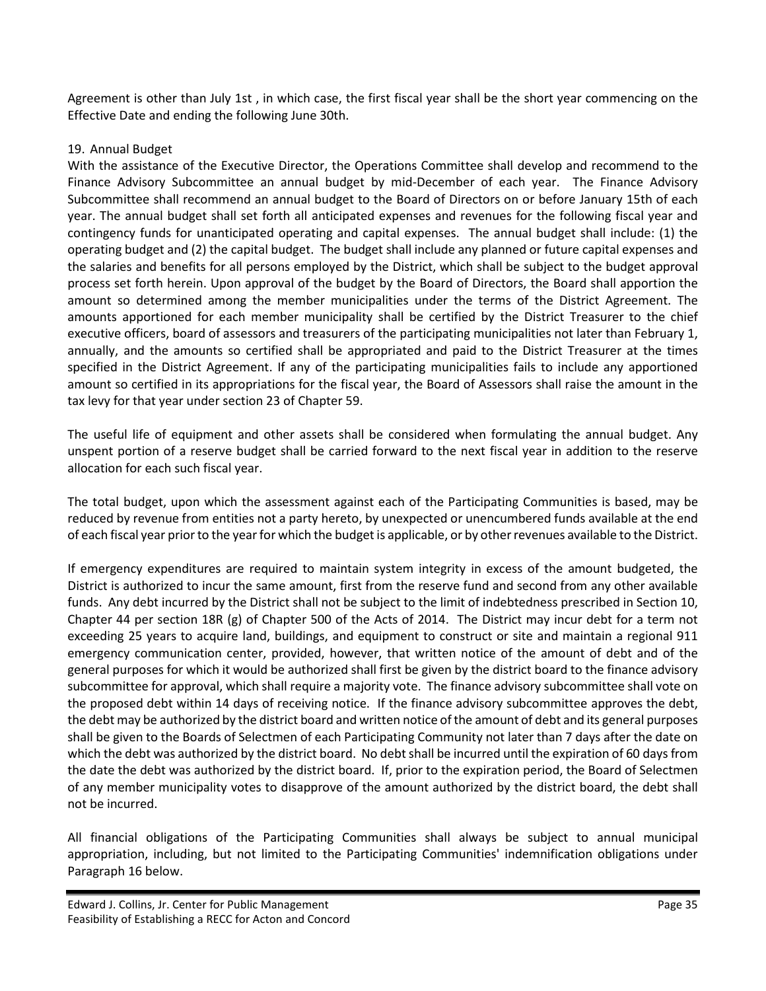Agreement is other than July 1st , in which case, the first fiscal year shall be the short year commencing on the Effective Date and ending the following June 30th.

#### 19. Annual Budget

With the assistance of the Executive Director, the Operations Committee shall develop and recommend to the Finance Advisory Subcommittee an annual budget by mid-December of each year. The Finance Advisory Subcommittee shall recommend an annual budget to the Board of Directors on or before January 15th of each year. The annual budget shall set forth all anticipated expenses and revenues for the following fiscal year and contingency funds for unanticipated operating and capital expenses. The annual budget shall include: (1) the operating budget and (2) the capital budget. The budget shall include any planned or future capital expenses and the salaries and benefits for all persons employed by the District, which shall be subject to the budget approval process set forth herein. Upon approval of the budget by the Board of Directors, the Board shall apportion the amount so determined among the member municipalities under the terms of the District Agreement. The amounts apportioned for each member municipality shall be certified by the District Treasurer to the chief executive officers, board of assessors and treasurers of the participating municipalities not later than February 1, annually, and the amounts so certified shall be appropriated and paid to the District Treasurer at the times specified in the District Agreement. If any of the participating municipalities fails to include any apportioned amount so certified in its appropriations for the fiscal year, the Board of Assessors shall raise the amount in the tax levy for that year under section 23 of Chapter 59.

The useful life of equipment and other assets shall be considered when formulating the annual budget. Any unspent portion of a reserve budget shall be carried forward to the next fiscal year in addition to the reserve allocation for each such fiscal year.

The total budget, upon which the assessment against each of the Participating Communities is based, may be reduced by revenue from entities not a party hereto, by unexpected or unencumbered funds available at the end of each fiscal year prior to the year for which the budget is applicable, or by other revenues available to the District.

If emergency expenditures are required to maintain system integrity in excess of the amount budgeted, the District is authorized to incur the same amount, first from the reserve fund and second from any other available funds. Any debt incurred by the District shall not be subject to the limit of indebtedness prescribed in Section 10, Chapter 44 per section 18R (g) of Chapter 500 of the Acts of 2014. The District may incur debt for a term not exceeding 25 years to acquire land, buildings, and equipment to construct or site and maintain a regional 911 emergency communication center, provided, however, that written notice of the amount of debt and of the general purposes for which it would be authorized shall first be given by the district board to the finance advisory subcommittee for approval, which shall require a majority vote. The finance advisory subcommittee shall vote on the proposed debt within 14 days of receiving notice. If the finance advisory subcommittee approves the debt, the debt may be authorized by the district board and written notice of the amount of debt and its general purposes shall be given to the Boards of Selectmen of each Participating Community not later than 7 days after the date on which the debt was authorized by the district board. No debt shall be incurred until the expiration of 60 days from the date the debt was authorized by the district board. If, prior to the expiration period, the Board of Selectmen of any member municipality votes to disapprove of the amount authorized by the district board, the debt shall not be incurred.

All financial obligations of the Participating Communities shall always be subject to annual municipal appropriation, including, but not limited to the Participating Communities' indemnification obligations under Paragraph 16 below.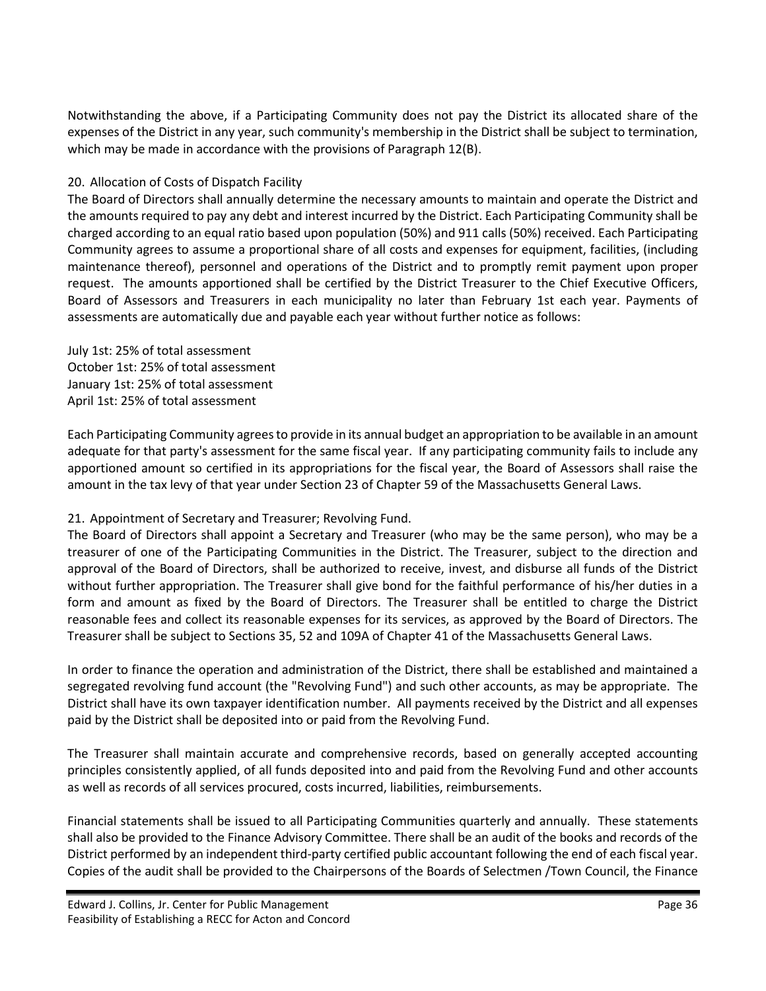Notwithstanding the above, if a Participating Community does not pay the District its allocated share of the expenses of the District in any year, such community's membership in the District shall be subject to termination, which may be made in accordance with the provisions of Paragraph 12(B).

#### 20. Allocation of Costs of Dispatch Facility

The Board of Directors shall annually determine the necessary amounts to maintain and operate the District and the amounts required to pay any debt and interest incurred by the District. Each Participating Community shall be charged according to an equal ratio based upon population (50%) and 911 calls (50%) received. Each Participating Community agrees to assume a proportional share of all costs and expenses for equipment, facilities, (including maintenance thereof), personnel and operations of the District and to promptly remit payment upon proper request. The amounts apportioned shall be certified by the District Treasurer to the Chief Executive Officers, Board of Assessors and Treasurers in each municipality no later than February 1st each year. Payments of assessments are automatically due and payable each year without further notice as follows:

July 1st: 25% of total assessment October 1st: 25% of total assessment January 1st: 25% of total assessment April 1st: 25% of total assessment

Each Participating Community agrees to provide in its annual budget an appropriation to be available in an amount adequate for that party's assessment for the same fiscal year. If any participating community fails to include any apportioned amount so certified in its appropriations for the fiscal year, the Board of Assessors shall raise the amount in the tax levy of that year under Section 23 of Chapter 59 of the Massachusetts General Laws.

#### 21. Appointment of Secretary and Treasurer; Revolving Fund.

The Board of Directors shall appoint a Secretary and Treasurer (who may be the same person), who may be a treasurer of one of the Participating Communities in the District. The Treasurer, subject to the direction and approval of the Board of Directors, shall be authorized to receive, invest, and disburse all funds of the District without further appropriation. The Treasurer shall give bond for the faithful performance of his/her duties in a form and amount as fixed by the Board of Directors. The Treasurer shall be entitled to charge the District reasonable fees and collect its reasonable expenses for its services, as approved by the Board of Directors. The Treasurer shall be subject to Sections 35, 52 and 109A of Chapter 41 of the Massachusetts General Laws.

In order to finance the operation and administration of the District, there shall be established and maintained a segregated revolving fund account (the "Revolving Fund") and such other accounts, as may be appropriate. The District shall have its own taxpayer identification number. All payments received by the District and all expenses paid by the District shall be deposited into or paid from the Revolving Fund.

The Treasurer shall maintain accurate and comprehensive records, based on generally accepted accounting principles consistently applied, of all funds deposited into and paid from the Revolving Fund and other accounts as well as records of all services procured, costs incurred, liabilities, reimbursements.

Financial statements shall be issued to all Participating Communities quarterly and annually. These statements shall also be provided to the Finance Advisory Committee. There shall be an audit of the books and records of the District performed by an independent third-party certified public accountant following the end of each fiscal year. Copies of the audit shall be provided to the Chairpersons of the Boards of Selectmen /Town Council, the Finance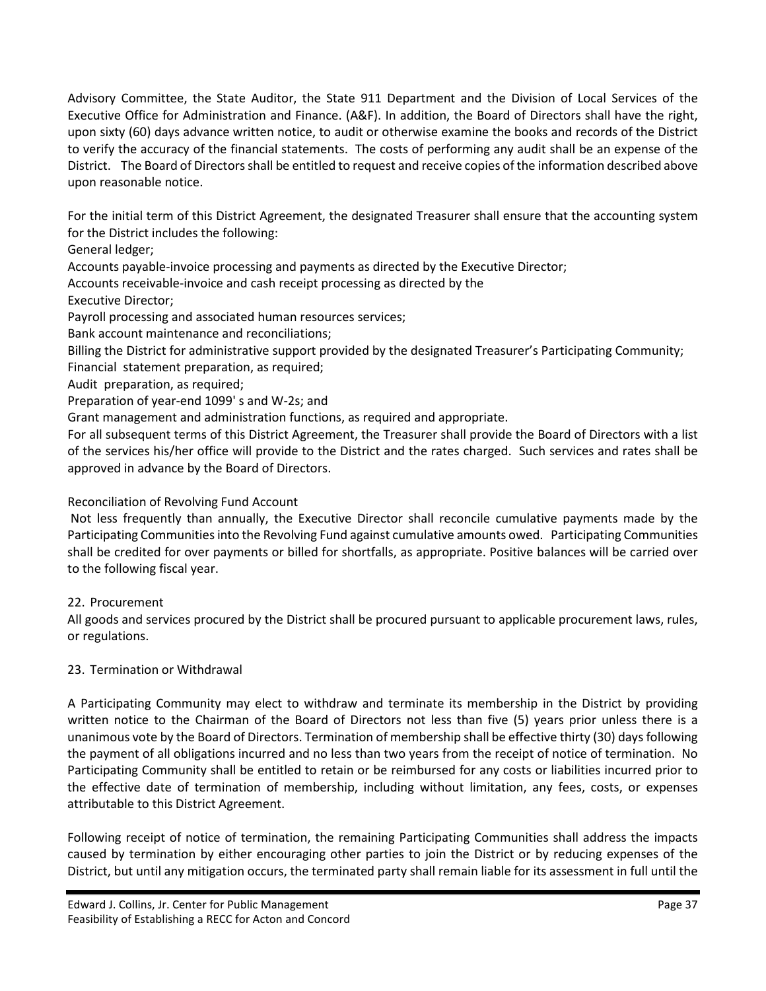Advisory Committee, the State Auditor, the State 911 Department and the Division of Local Services of the Executive Office for Administration and Finance. (A&F). In addition, the Board of Directors shall have the right, upon sixty (60) days advance written notice, to audit or otherwise examine the books and records of the District to verify the accuracy of the financial statements. The costs of performing any audit shall be an expense of the District. The Board of Directors shall be entitled to request and receive copies of the information described above upon reasonable notice.

For the initial term of this District Agreement, the designated Treasurer shall ensure that the accounting system for the District includes the following:

General ledger;

Accounts payable-invoice processing and payments as directed by the Executive Director;

Accounts receivable-invoice and cash receipt processing as directed by the

Executive Director;

Payroll processing and associated human resources services;

Bank account maintenance and reconciliations;

Billing the District for administrative support provided by the designated Treasurer's Participating Community;

Financial statement preparation, as required;

Audit preparation, as required;

Preparation of year-end 1099' s and W-2s; and

Grant management and administration functions, as required and appropriate.

For all subsequent terms of this District Agreement, the Treasurer shall provide the Board of Directors with a list of the services his/her office will provide to the District and the rates charged. Such services and rates shall be approved in advance by the Board of Directors.

#### Reconciliation of Revolving Fund Account

Not less frequently than annually, the Executive Director shall reconcile cumulative payments made by the Participating Communities into the Revolving Fund against cumulative amounts owed. Participating Communities shall be credited for over payments or billed for shortfalls, as appropriate. Positive balances will be carried over to the following fiscal year.

#### 22. Procurement

All goods and services procured by the District shall be procured pursuant to applicable procurement laws, rules, or regulations.

#### 23. Termination or Withdrawal

A Participating Community may elect to withdraw and terminate its membership in the District by providing written notice to the Chairman of the Board of Directors not less than five (5) years prior unless there is a unanimous vote by the Board of Directors. Termination of membership shall be effective thirty (30) days following the payment of all obligations incurred and no less than two years from the receipt of notice of termination. No Participating Community shall be entitled to retain or be reimbursed for any costs or liabilities incurred prior to the effective date of termination of membership, including without limitation, any fees, costs, or expenses attributable to this District Agreement.

Following receipt of notice of termination, the remaining Participating Communities shall address the impacts caused by termination by either encouraging other parties to join the District or by reducing expenses of the District, but until any mitigation occurs, the terminated party shall remain liable for its assessment in full until the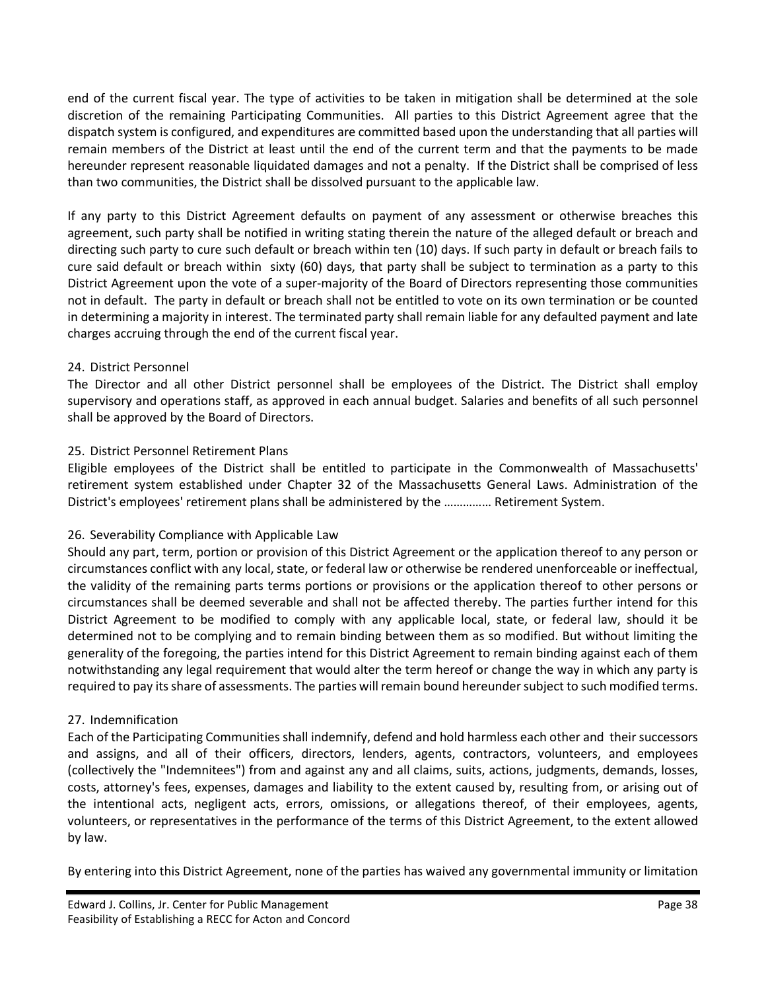end of the current fiscal year. The type of activities to be taken in mitigation shall be determined at the sole discretion of the remaining Participating Communities. All parties to this District Agreement agree that the dispatch system is configured, and expenditures are committed based upon the understanding that all parties will remain members of the District at least until the end of the current term and that the payments to be made hereunder represent reasonable liquidated damages and not a penalty. If the District shall be comprised of less than two communities, the District shall be dissolved pursuant to the applicable law.

If any party to this District Agreement defaults on payment of any assessment or otherwise breaches this agreement, such party shall be notified in writing stating therein the nature of the alleged default or breach and directing such party to cure such default or breach within ten (10) days. If such party in default or breach fails to cure said default or breach within sixty (60) days, that party shall be subject to termination as a party to this District Agreement upon the vote of a super-majority of the Board of Directors representing those communities not in default. The party in default or breach shall not be entitled to vote on its own termination or be counted in determining a majority in interest. The terminated party shall remain liable for any defaulted payment and late charges accruing through the end of the current fiscal year.

#### 24. District Personnel

The Director and all other District personnel shall be employees of the District. The District shall employ supervisory and operations staff, as approved in each annual budget. Salaries and benefits of all such personnel shall be approved by the Board of Directors.

#### 25. District Personnel Retirement Plans

Eligible employees of the District shall be entitled to participate in the Commonwealth of Massachusetts' retirement system established under Chapter 32 of the Massachusetts General Laws. Administration of the District's employees' retirement plans shall be administered by the …………… Retirement System.

#### 26. Severability Compliance with Applicable Law

Should any part, term, portion or provision of this District Agreement or the application thereof to any person or circumstances conflict with any local, state, or federal law or otherwise be rendered unenforceable or ineffectual, the validity of the remaining parts terms portions or provisions or the application thereof to other persons or circumstances shall be deemed severable and shall not be affected thereby. The parties further intend for this District Agreement to be modified to comply with any applicable local, state, or federal law, should it be determined not to be complying and to remain binding between them as so modified. But without limiting the generality of the foregoing, the parties intend for this District Agreement to remain binding against each of them notwithstanding any legal requirement that would alter the term hereof or change the way in which any party is required to pay its share of assessments. The parties will remain bound hereunder subject to such modified terms.

#### 27. Indemnification

Each of the Participating Communities shall indemnify, defend and hold harmless each other and their successors and assigns, and all of their officers, directors, lenders, agents, contractors, volunteers, and employees (collectively the "Indemnitees") from and against any and all claims, suits, actions, judgments, demands, losses, costs, attorney's fees, expenses, damages and liability to the extent caused by, resulting from, or arising out of the intentional acts, negligent acts, errors, omissions, or allegations thereof, of their employees, agents, volunteers, or representatives in the performance of the terms of this District Agreement, to the extent allowed by law.

By entering into this District Agreement, none of the parties has waived any governmental immunity or limitation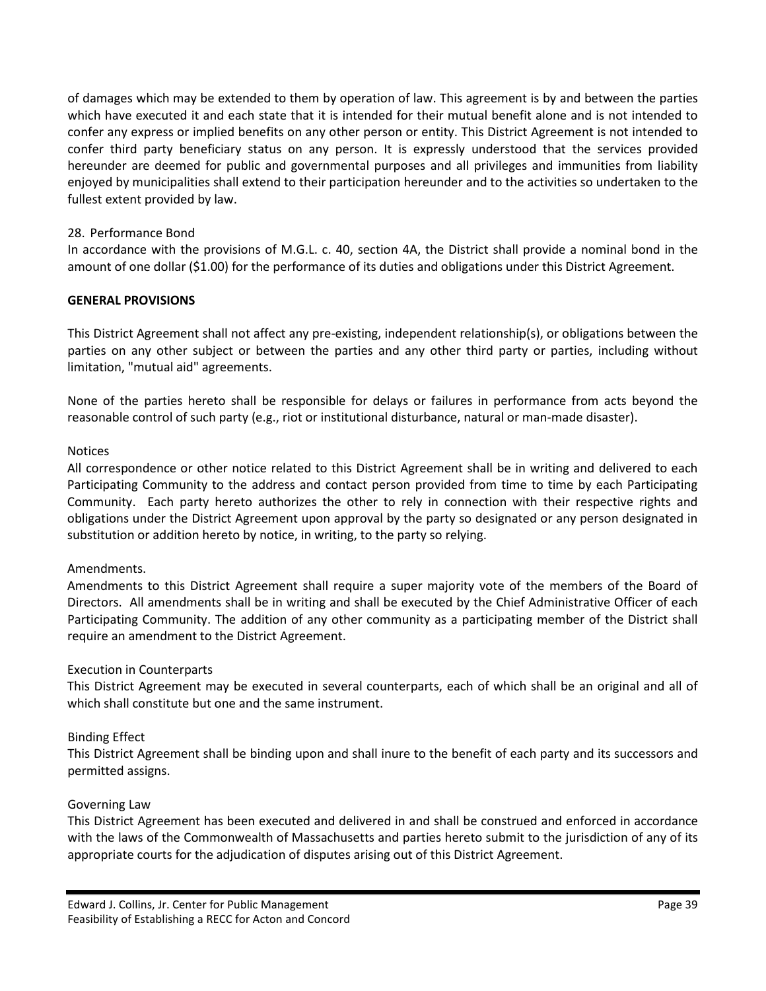of damages which may be extended to them by operation of law. This agreement is by and between the parties which have executed it and each state that it is intended for their mutual benefit alone and is not intended to confer any express or implied benefits on any other person or entity. This District Agreement is not intended to confer third party beneficiary status on any person. It is expressly understood that the services provided hereunder are deemed for public and governmental purposes and all privileges and immunities from liability enjoyed by municipalities shall extend to their participation hereunder and to the activities so undertaken to the fullest extent provided by law.

#### 28. Performance Bond

In accordance with the provisions of M.G.L. c. 40, section 4A, the District shall provide a nominal bond in the amount of one dollar (\$1.00) for the performance of its duties and obligations under this District Agreement.

#### **GENERAL PROVISIONS**

This District Agreement shall not affect any pre-existing, independent relationship(s), or obligations between the parties on any other subject or between the parties and any other third party or parties, including without limitation, "mutual aid" agreements.

None of the parties hereto shall be responsible for delays or failures in performance from acts beyond the reasonable control of such party (e.g., riot or institutional disturbance, natural or man-made disaster).

#### **Notices**

All correspondence or other notice related to this District Agreement shall be in writing and delivered to each Participating Community to the address and contact person provided from time to time by each Participating Community. Each party hereto authorizes the other to rely in connection with their respective rights and obligations under the District Agreement upon approval by the party so designated or any person designated in substitution or addition hereto by notice, in writing, to the party so relying.

#### Amendments.

Amendments to this District Agreement shall require a super majority vote of the members of the Board of Directors. All amendments shall be in writing and shall be executed by the Chief Administrative Officer of each Participating Community. The addition of any other community as a participating member of the District shall require an amendment to the District Agreement.

#### Execution in Counterparts

This District Agreement may be executed in several counterparts, each of which shall be an original and all of which shall constitute but one and the same instrument.

#### Binding Effect

This District Agreement shall be binding upon and shall inure to the benefit of each party and its successors and permitted assigns.

#### Governing Law

This District Agreement has been executed and delivered in and shall be construed and enforced in accordance with the laws of the Commonwealth of Massachusetts and parties hereto submit to the jurisdiction of any of its appropriate courts for the adjudication of disputes arising out of this District Agreement.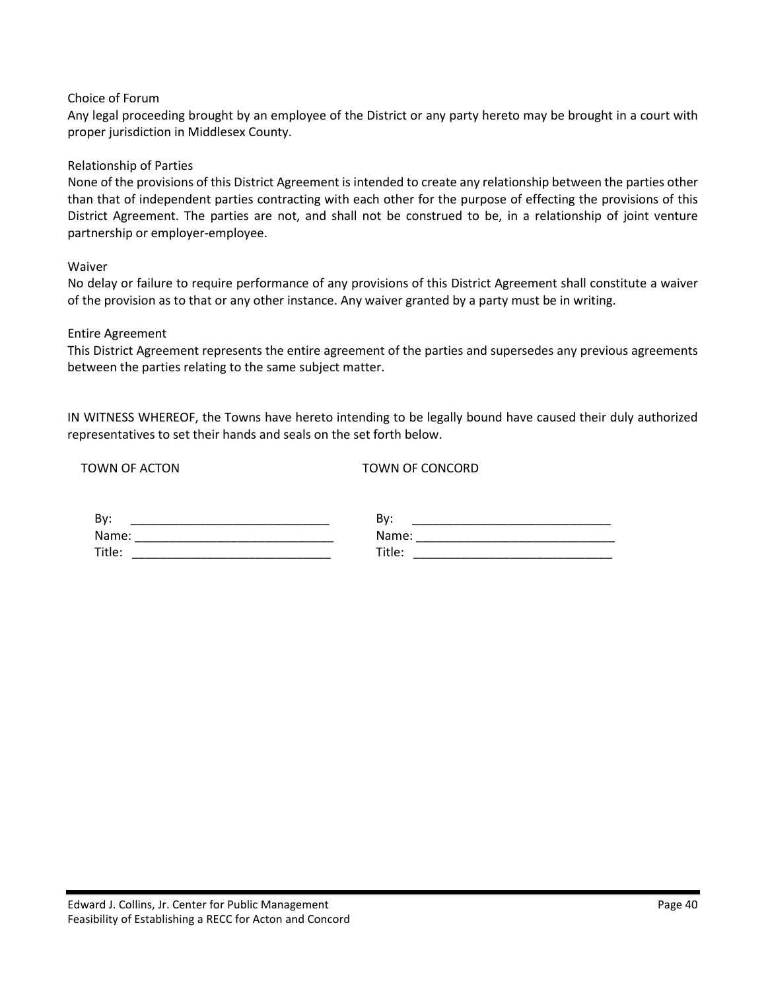#### Choice of Forum

Any legal proceeding brought by an employee of the District or any party hereto may be brought in a court with proper jurisdiction in Middlesex County.

#### Relationship of Parties

None of the provisions of this District Agreement is intended to create any relationship between the parties other than that of independent parties contracting with each other for the purpose of effecting the provisions of this District Agreement. The parties are not, and shall not be construed to be, in a relationship of joint venture partnership or employer-employee.

Waiver

No delay or failure to require performance of any provisions of this District Agreement shall constitute a waiver of the provision as to that or any other instance. Any waiver granted by a party must be in writing.

#### Entire Agreement

This District Agreement represents the entire agreement of the parties and supersedes any previous agreements between the parties relating to the same subject matter.

IN WITNESS WHEREOF, the Towns have hereto intending to be legally bound have caused their duly authorized representatives to set their hands and seals on the set forth below.

TOWN OF ACTON TOWN OF CONCORD

| <b>By</b> | י, ס<br>DV |
|-----------|------------|
| Name:     | Name:      |
| Title:    | Title.     |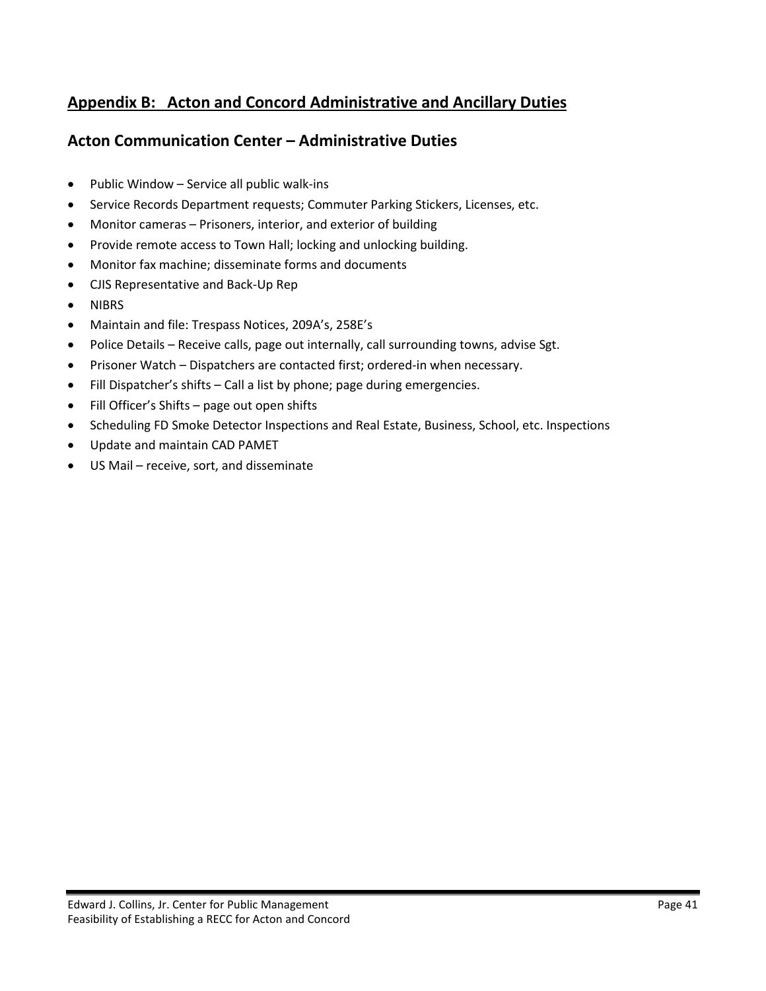## <span id="page-41-0"></span>**Appendix B: Acton and Concord Administrative and Ancillary Duties**

## **Acton Communication Center – Administrative Duties**

- Public Window Service all public walk-ins
- Service Records Department requests; Commuter Parking Stickers, Licenses, etc.
- Monitor cameras Prisoners, interior, and exterior of building
- Provide remote access to Town Hall; locking and unlocking building.
- Monitor fax machine; disseminate forms and documents
- CJIS Representative and Back-Up Rep
- NIBRS
- Maintain and file: Trespass Notices, 209A's, 258E's
- Police Details Receive calls, page out internally, call surrounding towns, advise Sgt.
- Prisoner Watch Dispatchers are contacted first; ordered-in when necessary.
- Fill Dispatcher's shifts Call a list by phone; page during emergencies.
- Fill Officer's Shifts page out open shifts
- Scheduling FD Smoke Detector Inspections and Real Estate, Business, School, etc. Inspections
- Update and maintain CAD PAMET
- US Mail receive, sort, and disseminate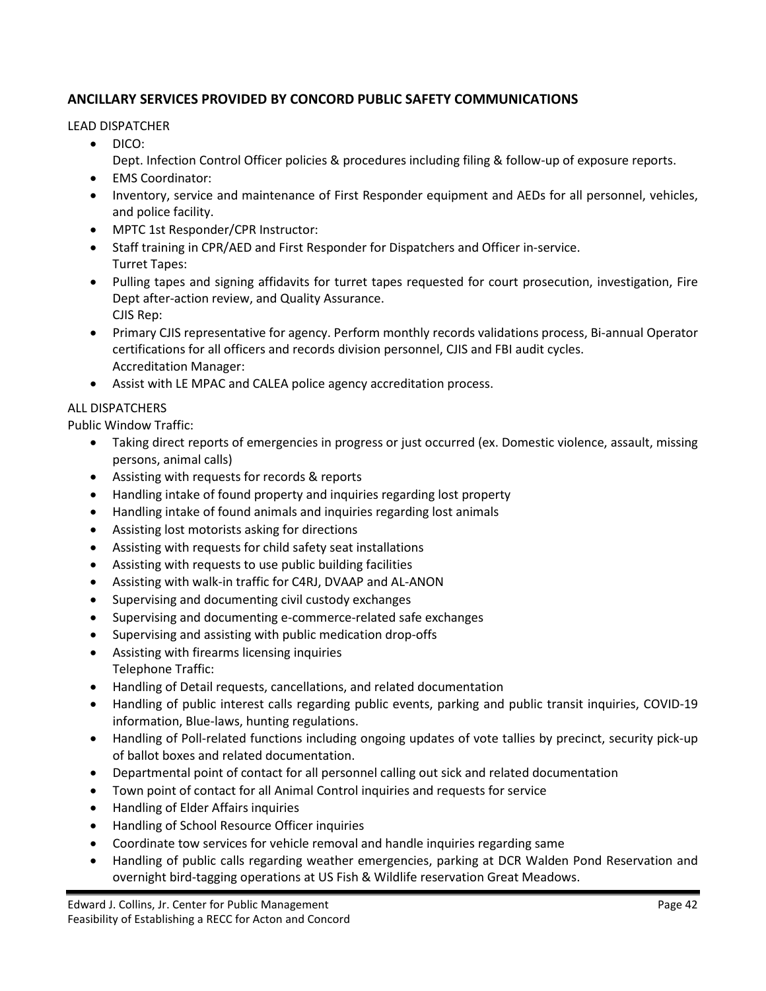#### **ANCILLARY SERVICES PROVIDED BY CONCORD PUBLIC SAFETY COMMUNICATIONS**

LEAD DISPATCHER

- DICO:
	- Dept. Infection Control Officer policies & procedures including filing & follow-up of exposure reports.
- EMS Coordinator:
- Inventory, service and maintenance of First Responder equipment and AEDs for all personnel, vehicles, and police facility.
- MPTC 1st Responder/CPR Instructor:
- Staff training in CPR/AED and First Responder for Dispatchers and Officer in-service. Turret Tapes:
- Pulling tapes and signing affidavits for turret tapes requested for court prosecution, investigation, Fire Dept after-action review, and Quality Assurance. CJIS Rep:
- Primary CJIS representative for agency. Perform monthly records validations process, Bi-annual Operator certifications for all officers and records division personnel, CJIS and FBI audit cycles. Accreditation Manager:
- Assist with LE MPAC and CALEA police agency accreditation process.

#### ALL DISPATCHERS

Public Window Traffic:

- Taking direct reports of emergencies in progress or just occurred (ex. Domestic violence, assault, missing persons, animal calls)
- Assisting with requests for records & reports
- Handling intake of found property and inquiries regarding lost property
- Handling intake of found animals and inquiries regarding lost animals
- Assisting lost motorists asking for directions
- Assisting with requests for child safety seat installations
- Assisting with requests to use public building facilities
- Assisting with walk-in traffic for C4RJ, DVAAP and AL-ANON
- Supervising and documenting civil custody exchanges
- Supervising and documenting e-commerce-related safe exchanges
- Supervising and assisting with public medication drop-offs
- Assisting with firearms licensing inquiries Telephone Traffic:
- Handling of Detail requests, cancellations, and related documentation
- Handling of public interest calls regarding public events, parking and public transit inquiries, COVID-19 information, Blue-laws, hunting regulations.
- Handling of Poll-related functions including ongoing updates of vote tallies by precinct, security pick-up of ballot boxes and related documentation.
- Departmental point of contact for all personnel calling out sick and related documentation
- Town point of contact for all Animal Control inquiries and requests for service
- Handling of Elder Affairs inquiries
- Handling of School Resource Officer inquiries
- Coordinate tow services for vehicle removal and handle inquiries regarding same
- Handling of public calls regarding weather emergencies, parking at DCR Walden Pond Reservation and overnight bird-tagging operations at US Fish & Wildlife reservation Great Meadows.